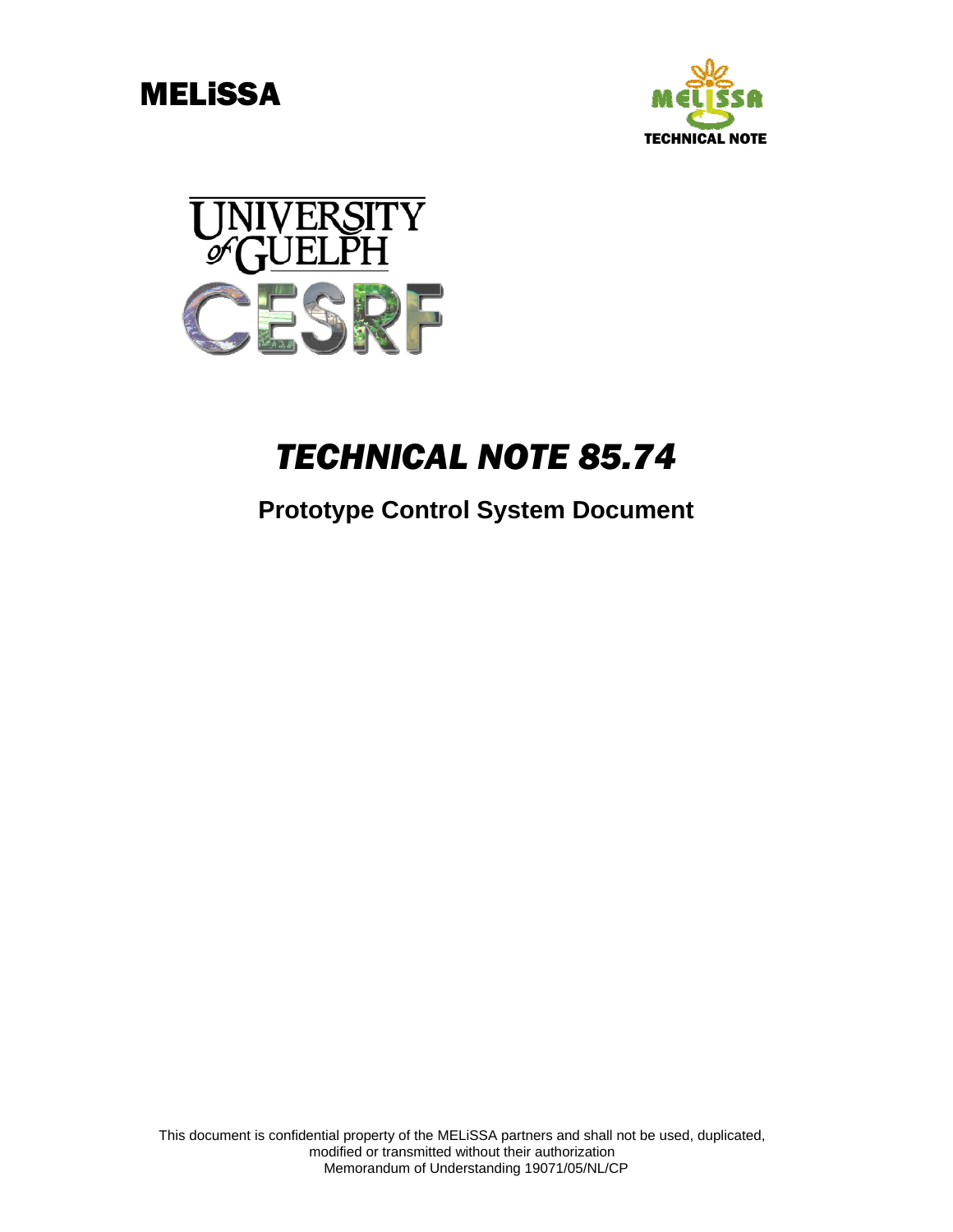





# *TECHNICAL NOTE 85.74*

# **Prototype Control System Document**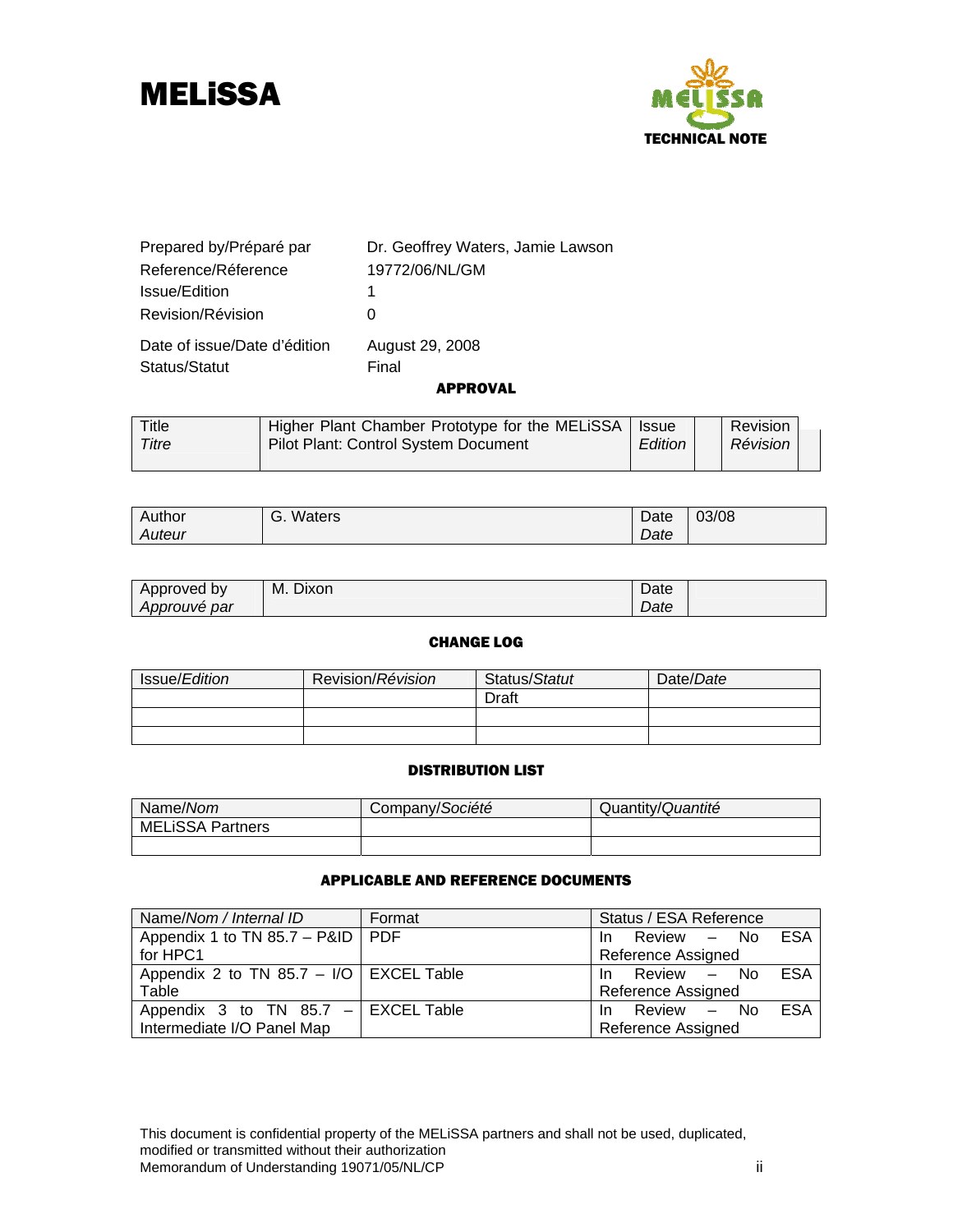



| Prepared by/Préparé par      | Dr. Geoffrey Waters, Jamie Lawson |
|------------------------------|-----------------------------------|
| Reference/Réference          | 19772/06/NL/GM                    |
| Issue/Edition                | 1                                 |
| Revision/Révision            | O                                 |
| Date of issue/Date d'édition | August 29, 2008                   |
| Status/Statut                | Final                             |
|                              | APPROVAL                          |

| Title<br>Titre | Higher Plant Chamber Prototype for the MELiSSA   Issue<br>Pilot Plant: Control System Document | Edition | Revision<br>Révision |  |
|----------------|------------------------------------------------------------------------------------------------|---------|----------------------|--|
|                |                                                                                                |         |                      |  |

| Author | Waters<br>.ت | Date | 03/08 |
|--------|--------------|------|-------|
| Auteur |              | Date |       |

| Approved by  | Dixon<br>М. | Date |  |
|--------------|-------------|------|--|
| Approuvé par |             | Date |  |

### CHANGE LOG

| <b>Issue/Edition</b> | Revision/Révision | Status/Statut | Date/Date |
|----------------------|-------------------|---------------|-----------|
|                      |                   | Draft         |           |
|                      |                   |               |           |
|                      |                   |               |           |

### DISTRIBUTION LIST

| Name/Nom                | Company/Société | Quantity/Quantité |
|-------------------------|-----------------|-------------------|
| <b>MELISSA Partners</b> |                 |                   |
|                         |                 |                   |

#### APPLICABLE AND REFERENCE DOCUMENTS

| Name/Nom / Internal ID                          | Format | Status / ESA Reference    |  |
|-------------------------------------------------|--------|---------------------------|--|
| Appendix 1 to TN 85.7 – P&ID   PDF              |        | In Review - No ESA        |  |
| for HPC1                                        |        | <b>Reference Assigned</b> |  |
| Appendix 2 to TN 85.7 - I/O $\vert$ EXCEL Table |        | In Review - No ESA        |  |
| Table                                           |        | <b>Reference Assigned</b> |  |
| Appendix 3 to TN $85.7$ - EXCEL Table           |        | In Review - No ESA        |  |
| Intermediate I/O Panel Map                      |        | Reference Assigned        |  |

This document is confidential property of the MELiSSA partners and shall not be used, duplicated, modified or transmitted without their authorization Memorandum of Understanding 19071/05/NL/CP in the state of the state of the state of the state of the state of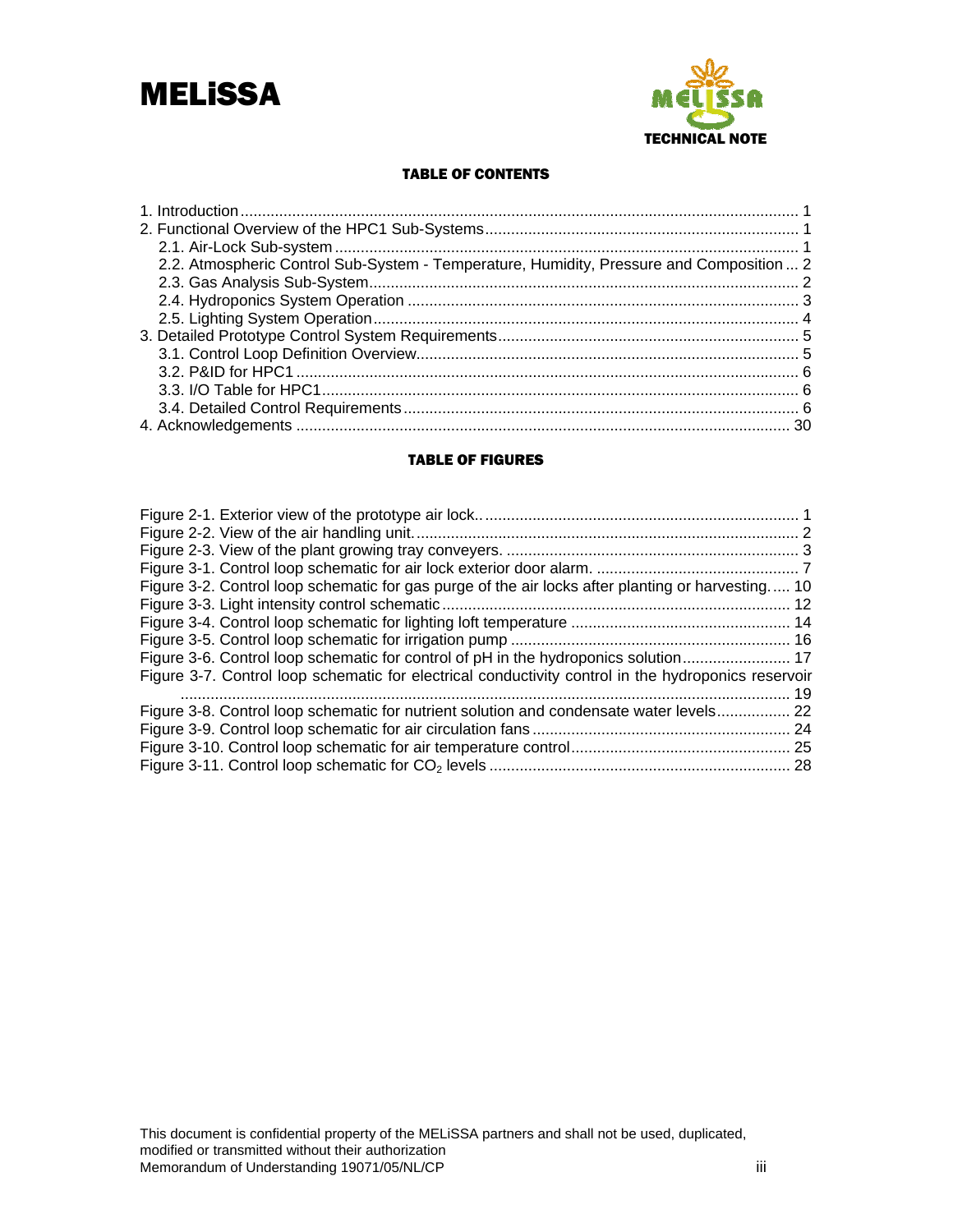



#### TABLE OF CONTENTS

| 2.2. Atmospheric Control Sub-System - Temperature, Humidity, Pressure and Composition  2 |  |
|------------------------------------------------------------------------------------------|--|
|                                                                                          |  |
|                                                                                          |  |
|                                                                                          |  |
|                                                                                          |  |
|                                                                                          |  |
|                                                                                          |  |
|                                                                                          |  |
|                                                                                          |  |
|                                                                                          |  |

#### TABLE OF FIGURES

| Figure 3-2. Control loop schematic for gas purge of the air locks after planting or harvesting 10   |  |
|-----------------------------------------------------------------------------------------------------|--|
|                                                                                                     |  |
|                                                                                                     |  |
|                                                                                                     |  |
|                                                                                                     |  |
| Figure 3-7. Control loop schematic for electrical conductivity control in the hydroponics reservoir |  |
|                                                                                                     |  |
| Figure 3-8. Control loop schematic for nutrient solution and condensate water levels 22             |  |
|                                                                                                     |  |
|                                                                                                     |  |
|                                                                                                     |  |
|                                                                                                     |  |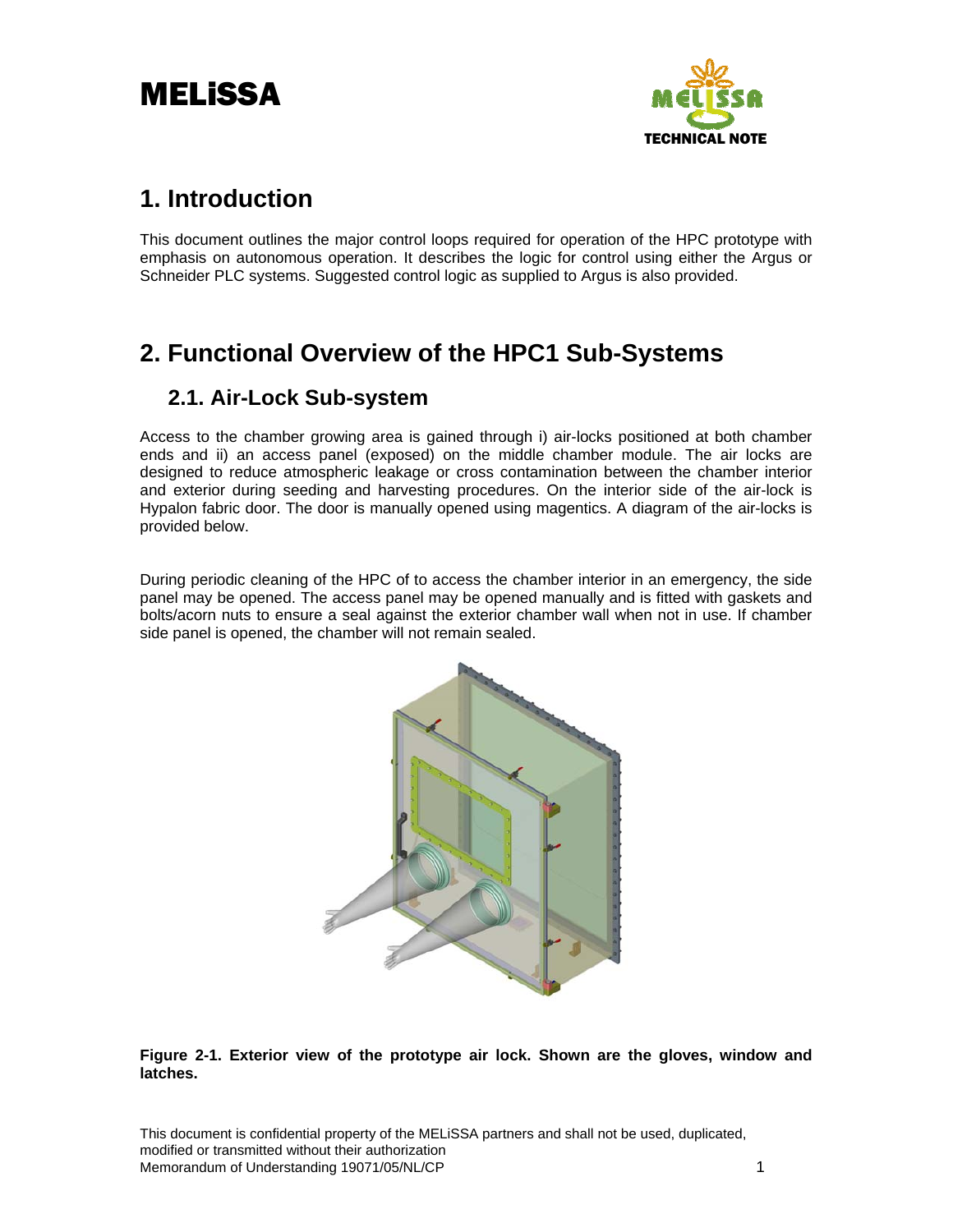

# <span id="page-3-0"></span>**1. Introduction**

This document outlines the major control loops required for operation of the HPC prototype with emphasis on autonomous operation. It describes the logic for control using either the Argus or Schneider PLC systems. Suggested control logic as supplied to Argus is also provided.

# **2. Functional Overview of the HPC1 Sub-Systems**

# **2.1. Air-Lock Sub-system**

Access to the chamber growing area is gained through i) air-locks positioned at both chamber ends and ii) an access panel (exposed) on the middle chamber module. The air locks are designed to reduce atmospheric leakage or cross contamination between the chamber interior and exterior during seeding and harvesting procedures. On the interior side of the air-lock is Hypalon fabric door. The door is manually opened using magentics. A diagram of the air-locks is provided below.

During periodic cleaning of the HPC of to access the chamber interior in an emergency, the side panel may be opened. The access panel may be opened manually and is fitted with gaskets and bolts/acorn nuts to ensure a seal against the exterior chamber wall when not in use. If chamber side panel is opened, the chamber will not remain sealed.



### **Figure 2-1. Exterior view of the prototype air lock. Shown are the gloves, window and latches.**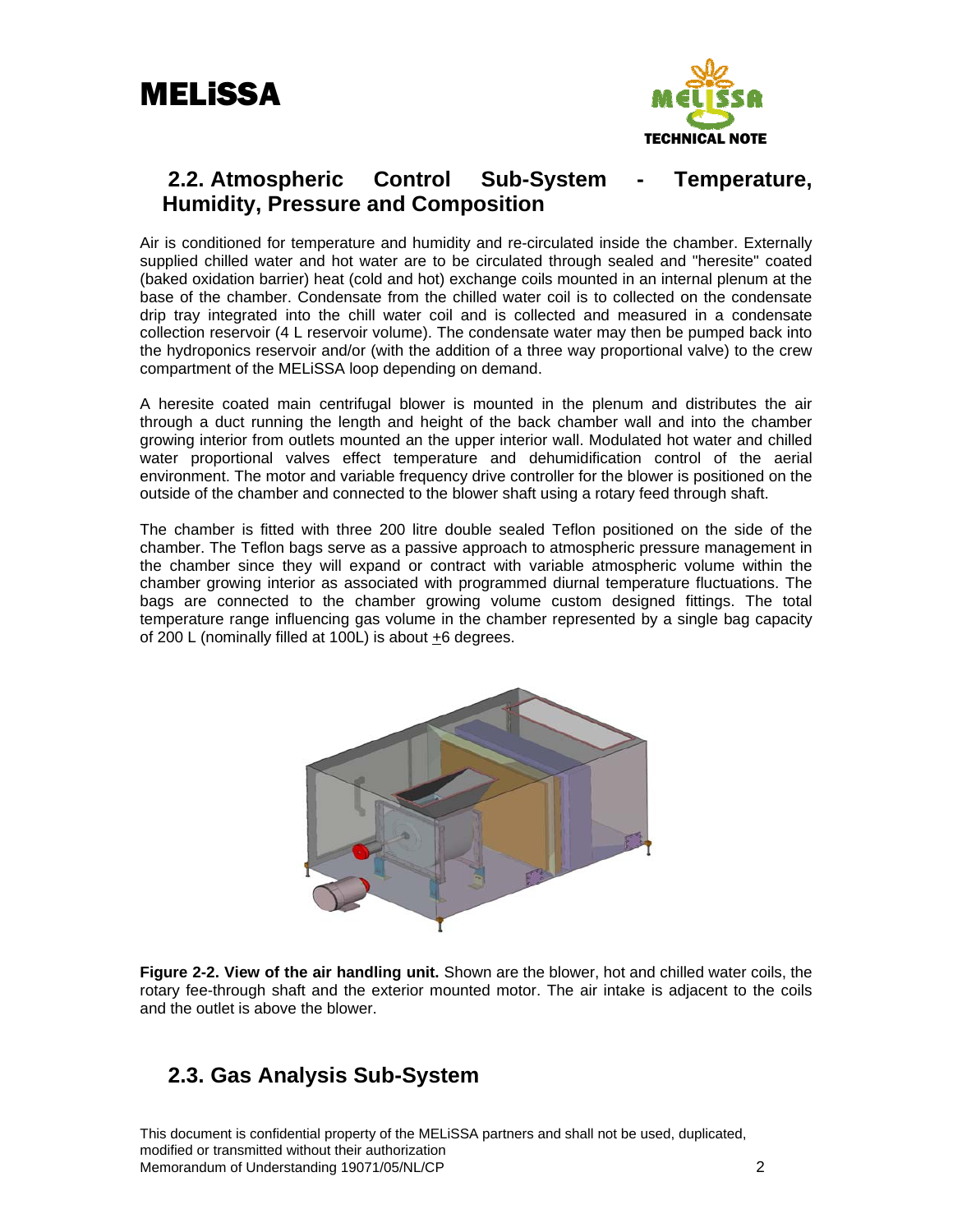

# <span id="page-4-0"></span>**2.2. Atmospheric Control Sub-System - Temperature, Humidity, Pressure and Composition**

Air is conditioned for temperature and humidity and re-circulated inside the chamber. Externally supplied chilled water and hot water are to be circulated through sealed and "heresite" coated (baked oxidation barrier) heat (cold and hot) exchange coils mounted in an internal plenum at the base of the chamber. Condensate from the chilled water coil is to collected on the condensate drip tray integrated into the chill water coil and is collected and measured in a condensate collection reservoir (4 L reservoir volume). The condensate water may then be pumped back into the hydroponics reservoir and/or (with the addition of a three way proportional valve) to the crew compartment of the MELiSSA loop depending on demand.

A heresite coated main centrifugal blower is mounted in the plenum and distributes the air through a duct running the length and height of the back chamber wall and into the chamber growing interior from outlets mounted an the upper interior wall. Modulated hot water and chilled water proportional valves effect temperature and dehumidification control of the aerial environment. The motor and variable frequency drive controller for the blower is positioned on the outside of the chamber and connected to the blower shaft using a rotary feed through shaft.

The chamber is fitted with three 200 litre double sealed Teflon positioned on the side of the chamber. The Teflon bags serve as a passive approach to atmospheric pressure management in the chamber since they will expand or contract with variable atmospheric volume within the chamber growing interior as associated with programmed diurnal temperature fluctuations. The bags are connected to the chamber growing volume custom designed fittings. The total temperature range influencing gas volume in the chamber represented by a single bag capacity of 200 L (nominally filled at 100L) is about +6 degrees.



**Figure 2-2. View of the air handling unit.** Shown are the blower, hot and chilled water coils, the rotary fee-through shaft and the exterior mounted motor. The air intake is adjacent to the coils and the outlet is above the blower.

# **2.3. Gas Analysis Sub-System**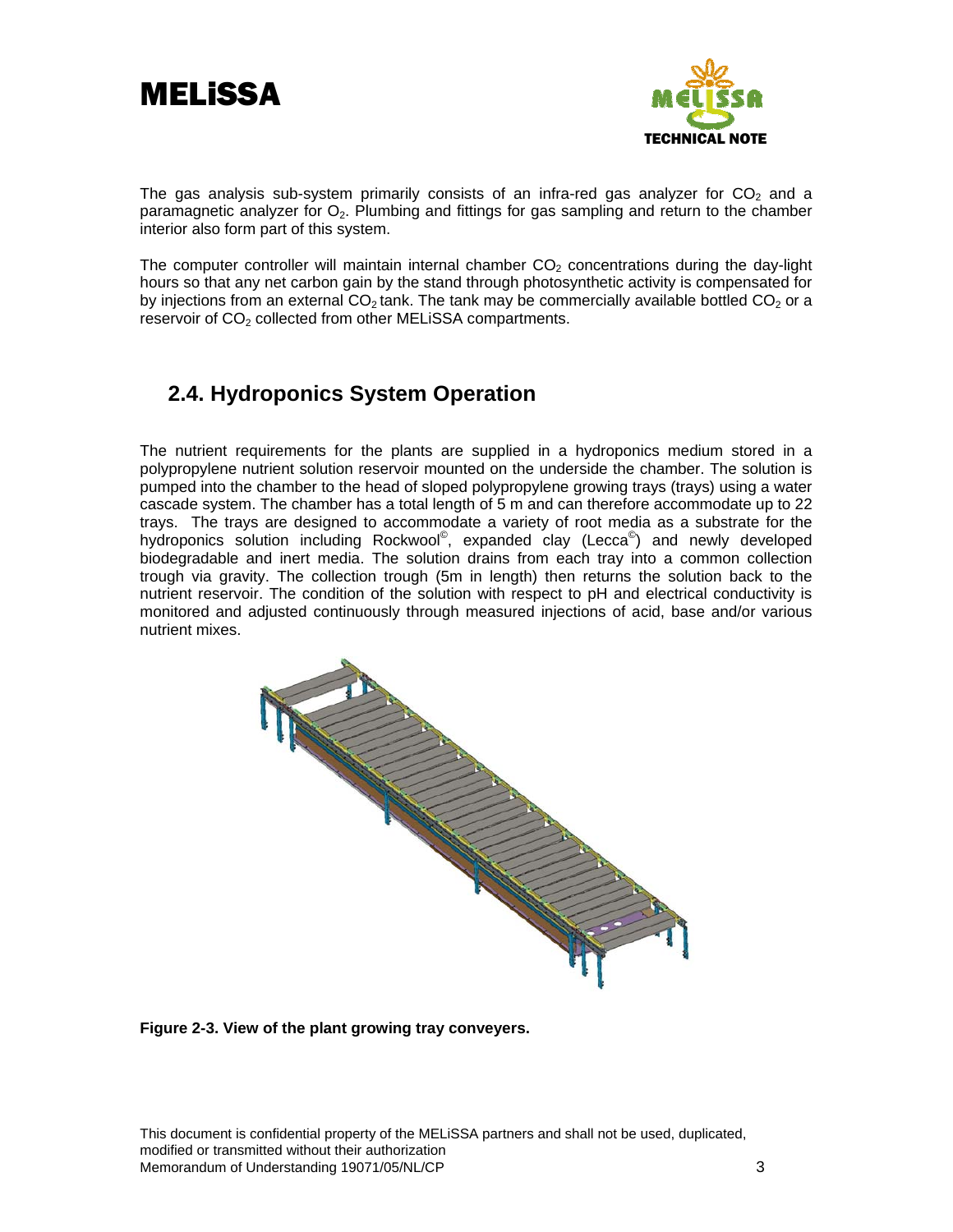<span id="page-5-0"></span>



The gas analysis sub-system primarily consists of an infra-red gas analyzer for  $CO<sub>2</sub>$  and a paramagnetic analyzer for  $O<sub>2</sub>$ . Plumbing and fittings for gas sampling and return to the chamber interior also form part of this system.

The computer controller will maintain internal chamber  $CO<sub>2</sub>$  concentrations during the day-light hours so that any net carbon gain by the stand through photosynthetic activity is compensated for by injections from an external  $CO<sub>2</sub>$  tank. The tank may be commercially available bottled  $CO<sub>2</sub>$  or a reservoir of CO<sub>2</sub> collected from other MELiSSA compartments.

# **2.4. Hydroponics System Operation**

The nutrient requirements for the plants are supplied in a hydroponics medium stored in a polypropylene nutrient solution reservoir mounted on the underside the chamber. The solution is pumped into the chamber to the head of sloped polypropylene growing trays (trays) using a water cascade system. The chamber has a total length of 5 m and can therefore accommodate up to 22 trays. The trays are designed to accommodate a variety of root media as a substrate for the hydroponics solution including Rockwool<sup>®</sup>, expanded clay (Lecca<sup>®</sup>) and newly developed biodegradable and inert media. The solution drains from each tray into a common collection trough via gravity. The collection trough (5m in length) then returns the solution back to the nutrient reservoir. The condition of the solution with respect to pH and electrical conductivity is monitored and adjusted continuously through measured injections of acid, base and/or various nutrient mixes.



**Figure 2-3. View of the plant growing tray conveyers.**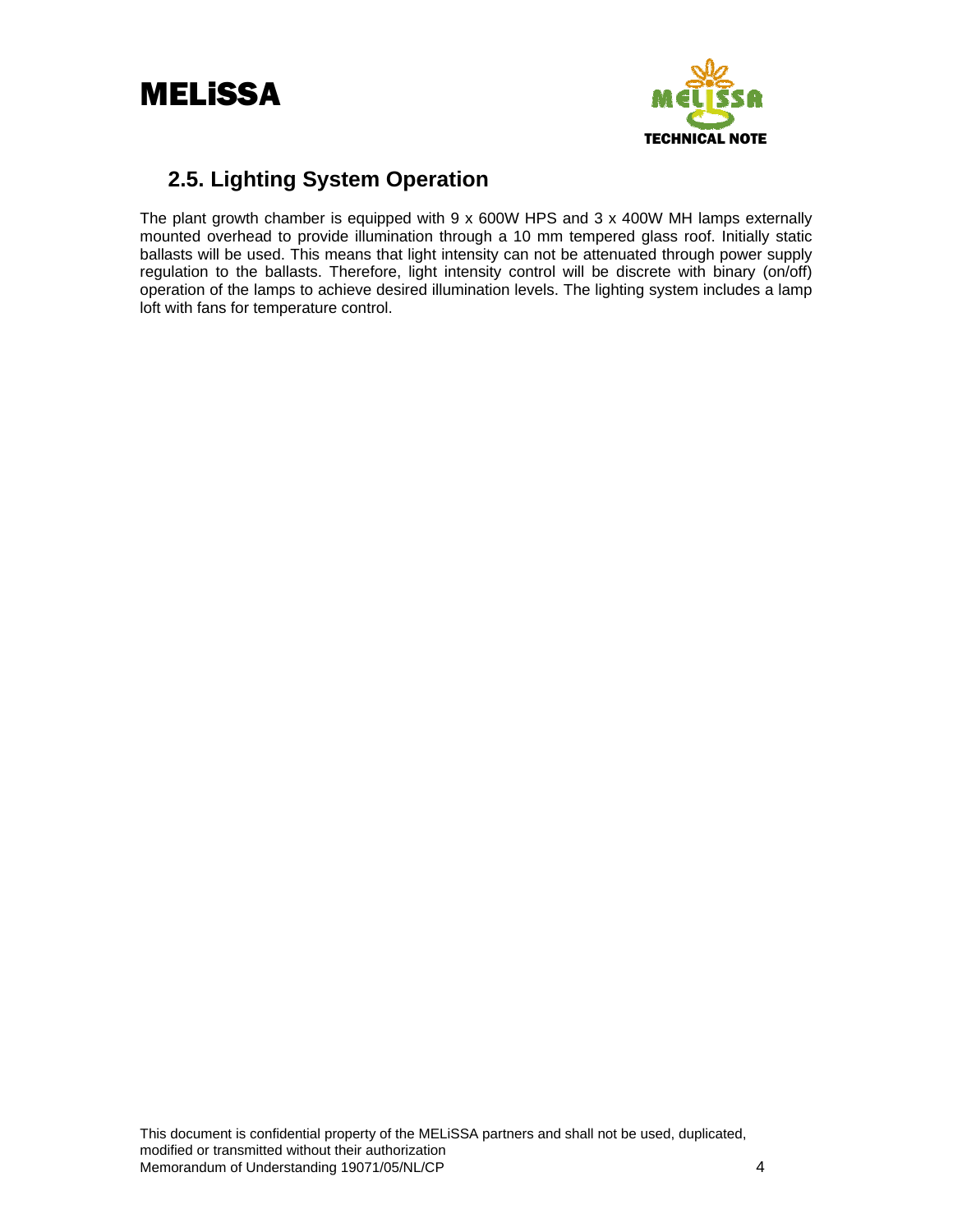<span id="page-6-0"></span>



# **2.5. Lighting System Operation**

The plant growth chamber is equipped with  $9 \times 600W$  HPS and  $3 \times 400W$  MH lamps externally mounted overhead to provide illumination through a 10 mm tempered glass roof. Initially static ballasts will be used. This means that light intensity can not be attenuated through power supply regulation to the ballasts. Therefore, light intensity control will be discrete with binary (on/off) operation of the lamps to achieve desired illumination levels. The lighting system includes a lamp loft with fans for temperature control.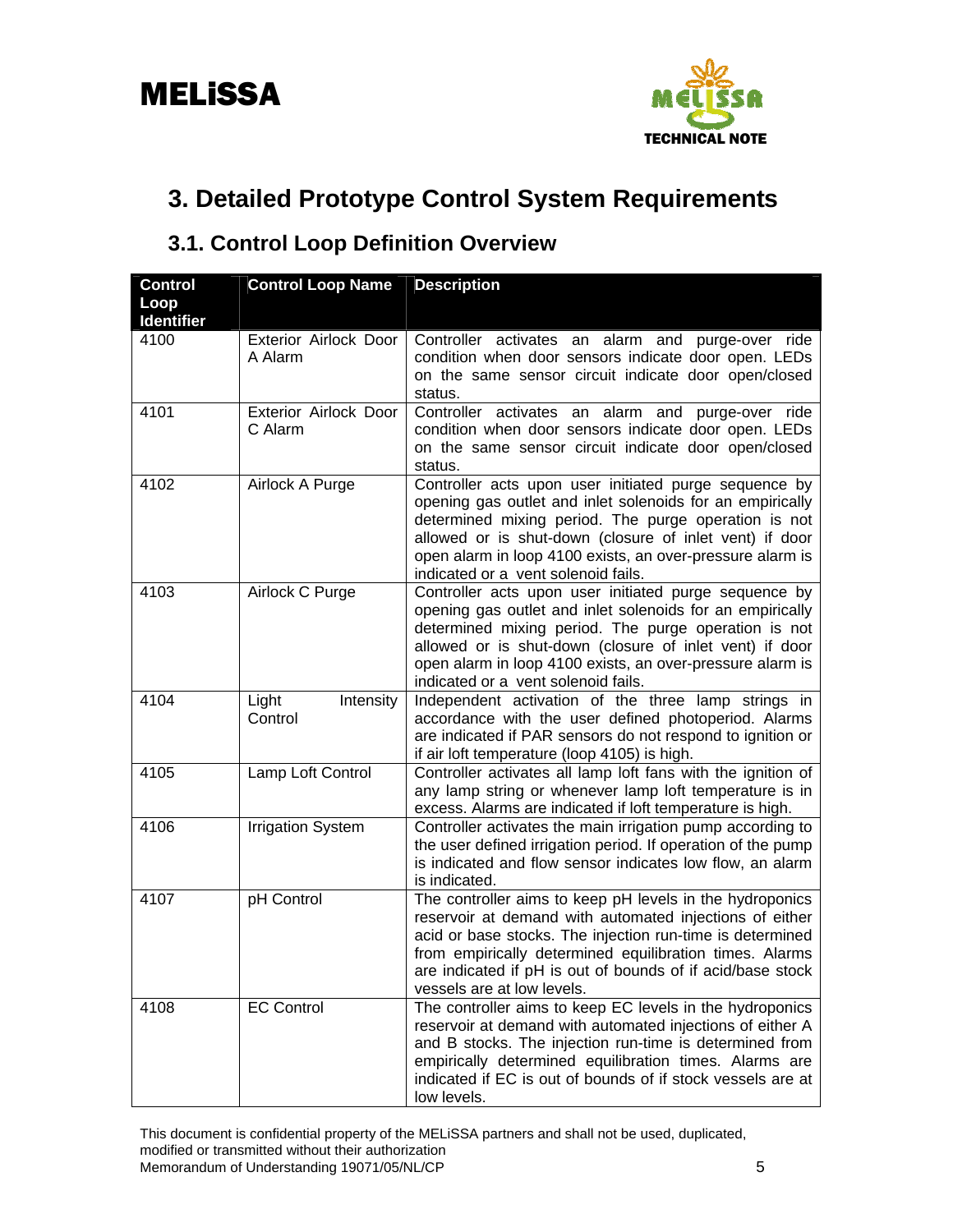

# <span id="page-7-0"></span>**3. Detailed Prototype Control System Requirements**

# **3.1. Control Loop Definition Overview**

| <b>Control</b><br>Loop<br><b>Identifier</b> | <b>Control Loop Name</b>         | <b>Description</b>                                                                                                                                                                                                                                                                                                                        |
|---------------------------------------------|----------------------------------|-------------------------------------------------------------------------------------------------------------------------------------------------------------------------------------------------------------------------------------------------------------------------------------------------------------------------------------------|
| 4100                                        | Exterior Airlock Door<br>A Alarm | Controller activates an alarm and purge-over ride<br>condition when door sensors indicate door open. LEDs<br>on the same sensor circuit indicate door open/closed<br>status.                                                                                                                                                              |
| 4101                                        | Exterior Airlock Door<br>C Alarm | Controller activates an alarm and purge-over ride<br>condition when door sensors indicate door open. LEDs<br>on the same sensor circuit indicate door open/closed<br>status.                                                                                                                                                              |
| 4102                                        | Airlock A Purge                  | Controller acts upon user initiated purge sequence by<br>opening gas outlet and inlet solenoids for an empirically<br>determined mixing period. The purge operation is not<br>allowed or is shut-down (closure of inlet vent) if door<br>open alarm in loop 4100 exists, an over-pressure alarm is<br>indicated or a vent solenoid fails. |
| 4103                                        | Airlock C Purge                  | Controller acts upon user initiated purge sequence by<br>opening gas outlet and inlet solenoids for an empirically<br>determined mixing period. The purge operation is not<br>allowed or is shut-down (closure of inlet vent) if door<br>open alarm in loop 4100 exists, an over-pressure alarm is<br>indicated or a vent solenoid fails. |
| 4104                                        | Light<br>Intensity<br>Control    | Independent activation of the three lamp strings in<br>accordance with the user defined photoperiod. Alarms<br>are indicated if PAR sensors do not respond to ignition or<br>if air loft temperature (loop 4105) is high.                                                                                                                 |
| 4105                                        | Lamp Loft Control                | Controller activates all lamp loft fans with the ignition of<br>any lamp string or whenever lamp loft temperature is in<br>excess. Alarms are indicated if loft temperature is high.                                                                                                                                                      |
| 4106                                        | <b>Irrigation System</b>         | Controller activates the main irrigation pump according to<br>the user defined irrigation period. If operation of the pump<br>is indicated and flow sensor indicates low flow, an alarm<br>is indicated.                                                                                                                                  |
| 4107                                        | pH Control                       | The controller aims to keep pH levels in the hydroponics<br>reservoir at demand with automated injections of either<br>acid or base stocks. The injection run-time is determined<br>from empirically determined equilibration times. Alarms<br>are indicated if pH is out of bounds of if acid/base stock<br>vessels are at low levels.   |
| 4108                                        | <b>EC Control</b>                | The controller aims to keep EC levels in the hydroponics<br>reservoir at demand with automated injections of either A<br>and B stocks. The injection run-time is determined from<br>empirically determined equilibration times. Alarms are<br>indicated if EC is out of bounds of if stock vessels are at<br>low levels.                  |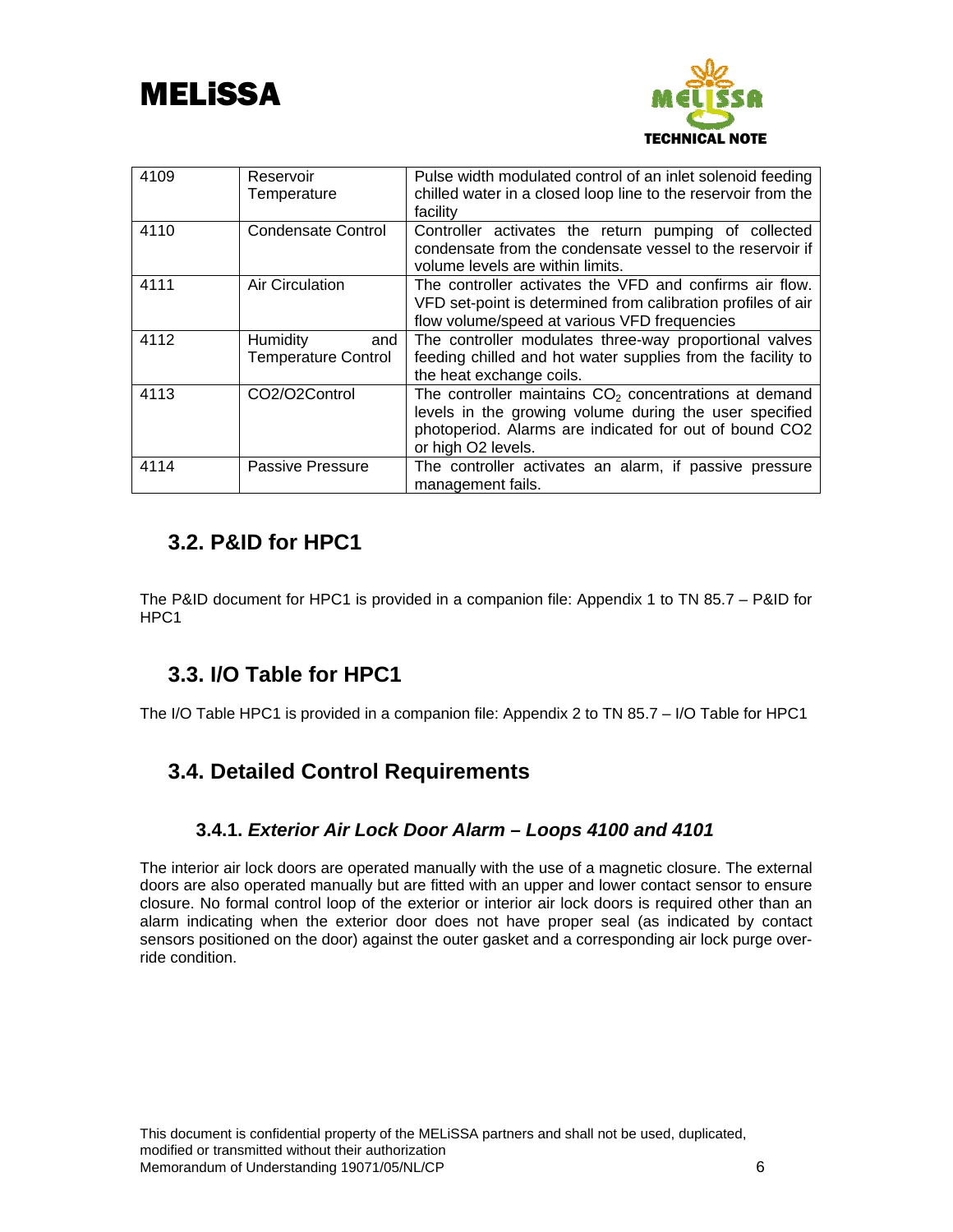<span id="page-8-0"></span>



| 4109 | Reservoir<br>Temperature                      | Pulse width modulated control of an inlet solenoid feeding<br>chilled water in a closed loop line to the reservoir from the<br>facility                                                           |
|------|-----------------------------------------------|---------------------------------------------------------------------------------------------------------------------------------------------------------------------------------------------------|
| 4110 | <b>Condensate Control</b>                     | Controller activates the return pumping of collected<br>condensate from the condensate vessel to the reservoir if<br>volume levels are within limits.                                             |
| 4111 | <b>Air Circulation</b>                        | The controller activates the VFD and confirms air flow.<br>VFD set-point is determined from calibration profiles of air<br>flow volume/speed at various VFD frequencies                           |
| 4112 | Humidity<br>and<br><b>Temperature Control</b> | The controller modulates three-way proportional valves<br>feeding chilled and hot water supplies from the facility to<br>the heat exchange coils.                                                 |
| 4113 | CO2/O2Control                                 | The controller maintains $CO2$ concentrations at demand<br>levels in the growing volume during the user specified<br>photoperiod. Alarms are indicated for out of bound CO2<br>or high O2 levels. |
| 4114 | Passive Pressure                              | The controller activates an alarm, if passive pressure<br>management fails.                                                                                                                       |

# **3.2. P&ID for HPC1**

The P&ID document for HPC1 is provided in a companion file: Appendix 1 to TN 85.7 – P&ID for HPC1

# **3.3. I/O Table for HPC1**

The I/O Table HPC1 is provided in a companion file: Appendix 2 to TN 85.7 – I/O Table for HPC1

# **3.4. Detailed Control Requirements**

## **3.4.1.** *Exterior Air Lock Door Alarm – Loops 4100 and 4101*

The interior air lock doors are operated manually with the use of a magnetic closure. The external doors are also operated manually but are fitted with an upper and lower contact sensor to ensure closure. No formal control loop of the exterior or interior air lock doors is required other than an alarm indicating when the exterior door does not have proper seal (as indicated by contact sensors positioned on the door) against the outer gasket and a corresponding air lock purge override condition.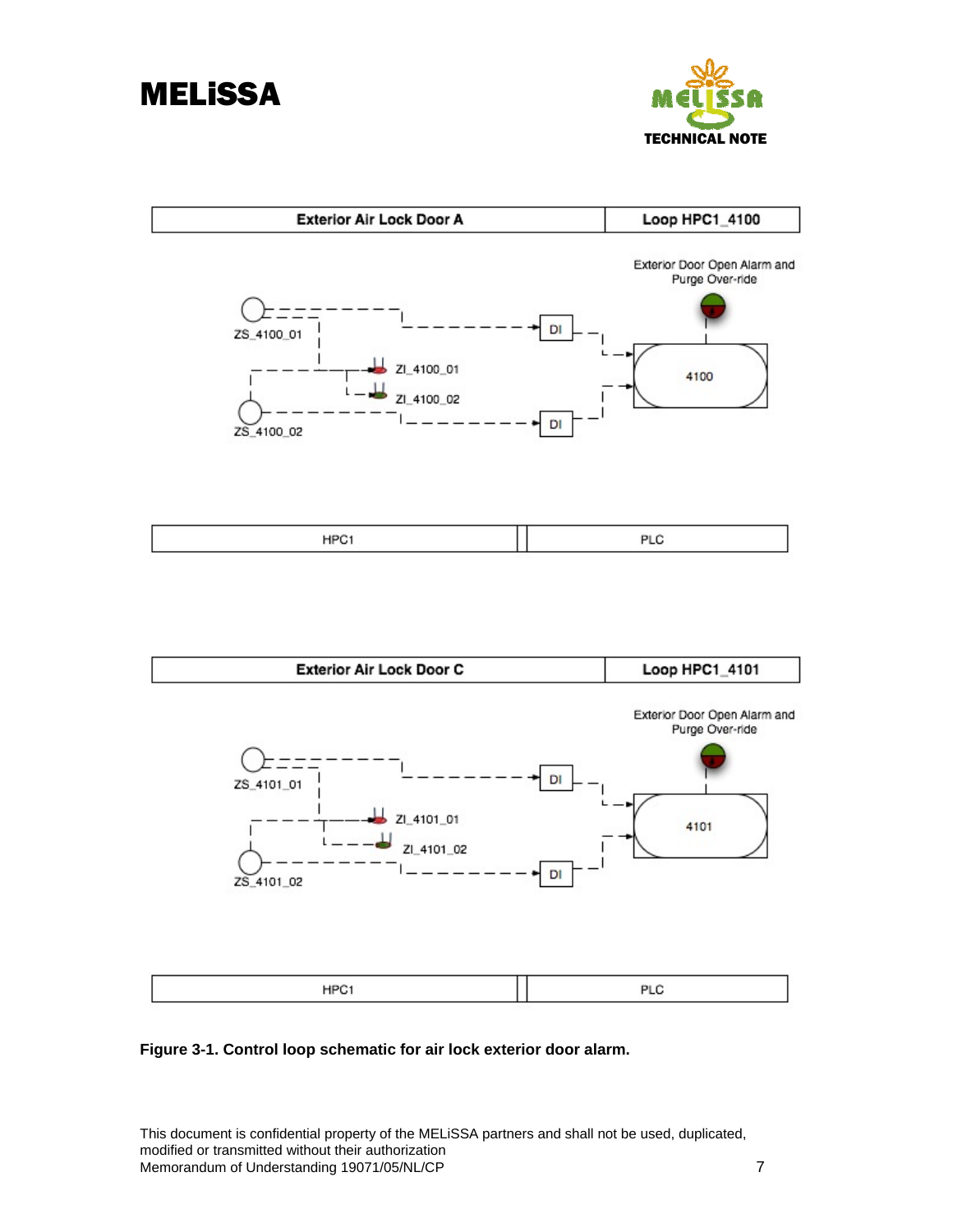<span id="page-9-0"></span>



| Exterior Air Lock Door A                                           | Loop HPC1_4100                                                      |
|--------------------------------------------------------------------|---------------------------------------------------------------------|
| ZS_4100_01<br>ZI_4100_01<br>ZI_4100_02<br>ZS_4100_02               | Exterior Door Open Alarm and<br>Purge Over-ride<br>DI<br>4100<br>DI |
| HPC1                                                               | PLC                                                                 |
| <b>Exterior Air Lock Door C</b>                                    | Loop HPC1_4101                                                      |
| ZS_4101_01<br>$\frac{1}{2}$ ZI_4101_01<br>ZI_4101_02<br>ZS_4101_02 | Exterior Door Open Alarm and<br>Purge Over-ride<br>DI<br>4101<br>DI |
| HPC1                                                               | PLC                                                                 |

**Figure 3-1. Control loop schematic for air lock exterior door alarm.**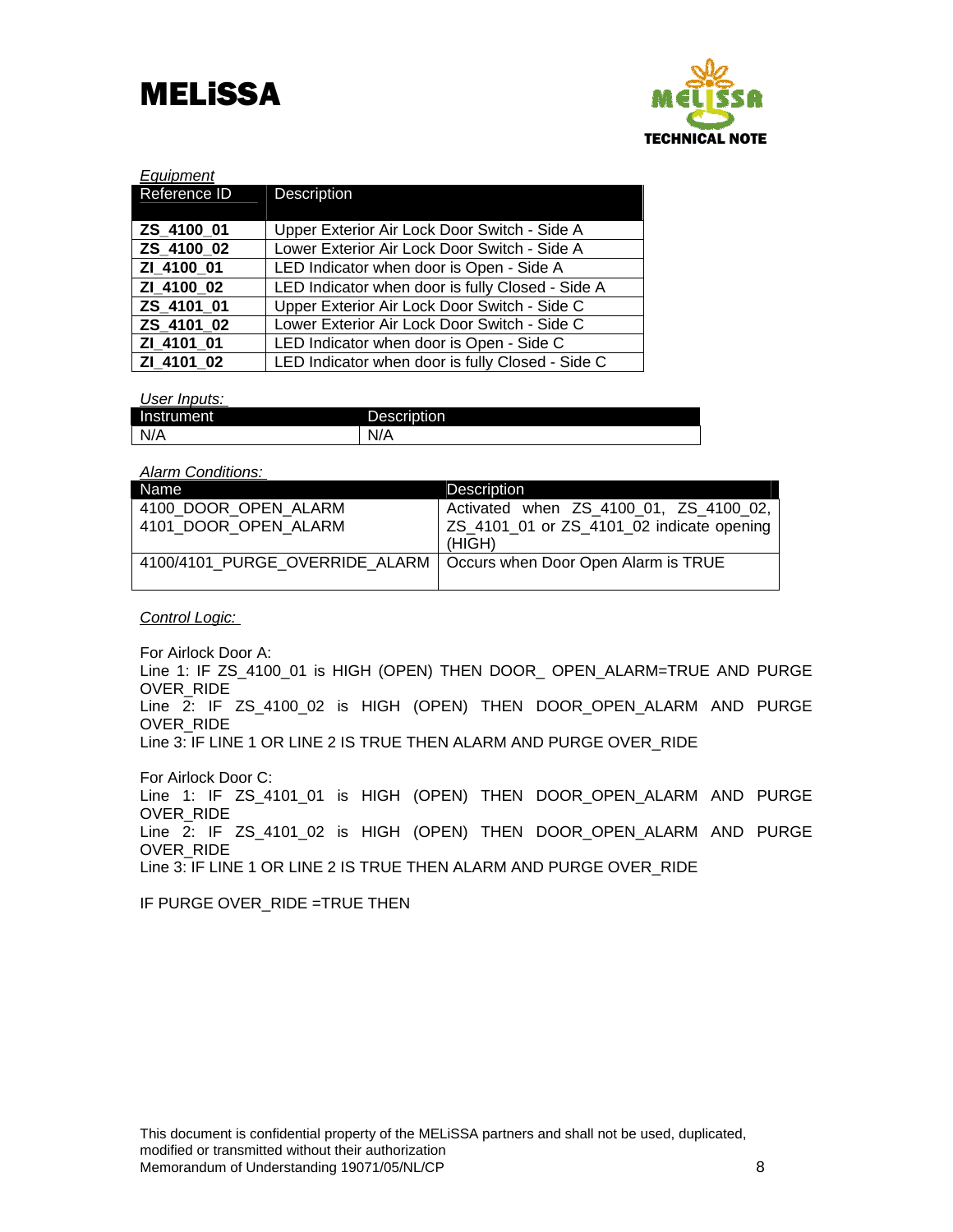



| Equipment    |                                                  |
|--------------|--------------------------------------------------|
| Reference ID | <b>Description</b>                               |
|              |                                                  |
| ZS 4100 01   | Upper Exterior Air Lock Door Switch - Side A     |
| ZS 4100 02   | Lower Exterior Air Lock Door Switch - Side A     |
| ZI 4100 01   | LED Indicator when door is Open - Side A         |
| ZI 4100 02   | LED Indicator when door is fully Closed - Side A |
| ZS 4101 01   | Upper Exterior Air Lock Door Switch - Side C     |
| ZS 4101 02   | Lower Exterior Air Lock Door Switch - Side C     |
| ZI 4101 01   | LED Indicator when door is Open - Side C         |
| ZI 4101 02   | LED Indicator when door is fully Closed - Side C |

*User Inputs:* 

| $\blacksquare$<br>Instrument | ℡<br>iiption<br>$\sim$ $\sim$ $\sim$ $\sim$ $\sim$<br>езсп<br>◡ |
|------------------------------|-----------------------------------------------------------------|
| N/A                          | v/n                                                             |

#### *Alarm Conditions:*

| Name                                                                 | <b>Description</b>                        |
|----------------------------------------------------------------------|-------------------------------------------|
| 4100 DOOR OPEN ALARM                                                 | Activated when ZS_4100_01, ZS_4100_02,    |
| 4101 DOOR OPEN ALARM                                                 | ZS_4101_01 or ZS_4101_02 indicate opening |
|                                                                      | (HIGH)                                    |
| 4100/4101 PURGE OVERRIDE ALARM   Occurs when Door Open Alarm is TRUE |                                           |
|                                                                      |                                           |

*Control Logic:* 

For Airlock Door A:

Line 1: IF ZS\_4100\_01 is HIGH (OPEN) THEN DOOR\_ OPEN\_ALARM=TRUE AND PURGE OVER\_RIDE Line 2: IF ZS\_4100\_02 is HIGH (OPEN) THEN DOOR\_OPEN\_ALARM AND PURGE OVER\_RIDE

Line 3: IF LINE 1 OR LINE 2 IS TRUE THEN ALARM AND PURGE OVER\_RIDE

For Airlock Door C: Line 1: IF ZS\_4101\_01 is HIGH (OPEN) THEN DOOR\_OPEN\_ALARM AND PURGE OVER\_RIDE Line 2: IF ZS\_4101\_02 is HIGH (OPEN) THEN DOOR\_OPEN\_ALARM AND PURGE OVER\_RIDE Line 3: IF LINE 1 OR LINE 2 IS TRUE THEN ALARM AND PURGE OVER\_RIDE

IF PURGE OVER RIDE =TRUE THEN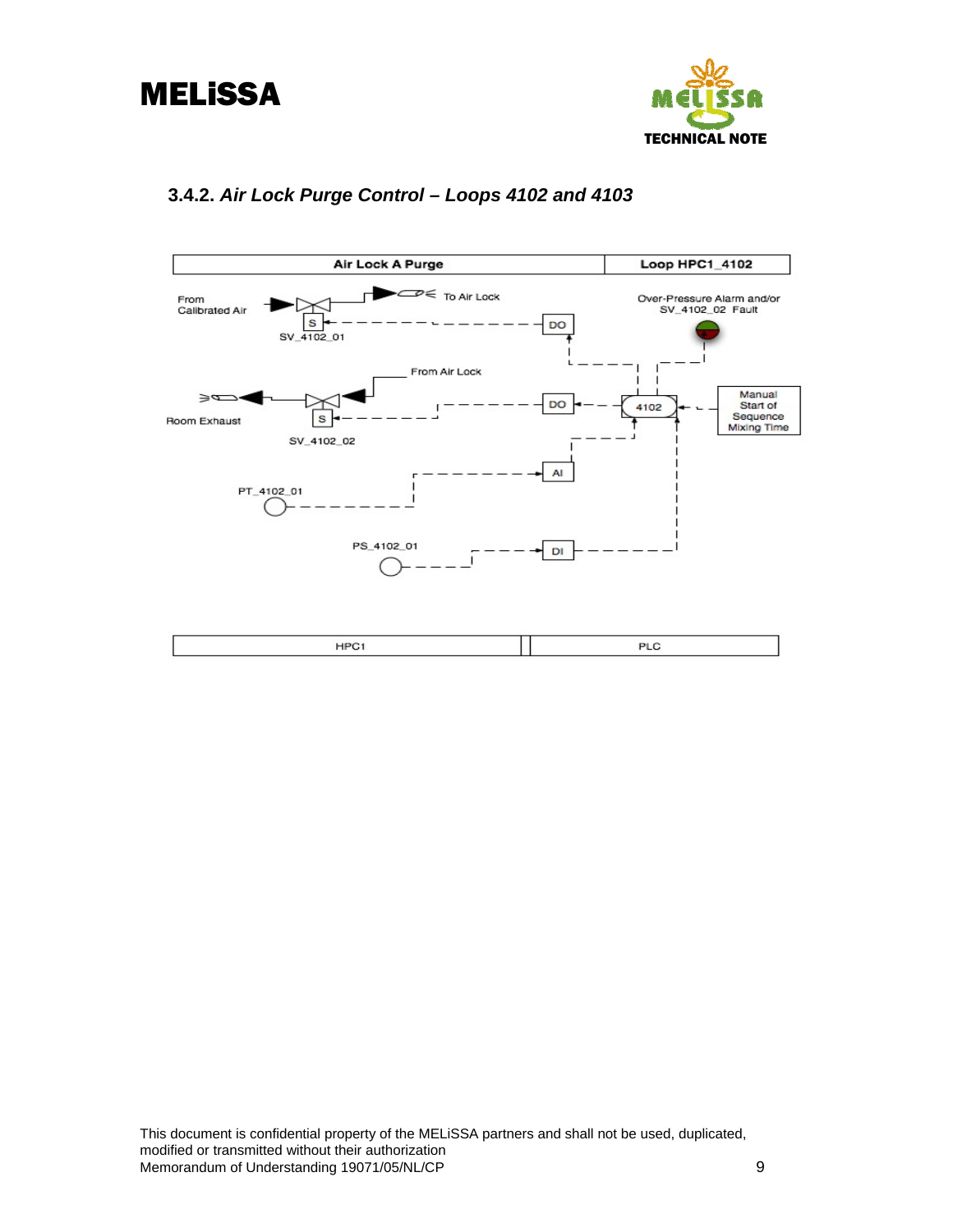



# **3.4.2.** *Air Lock Purge Control – Loops 4102 and 4103*

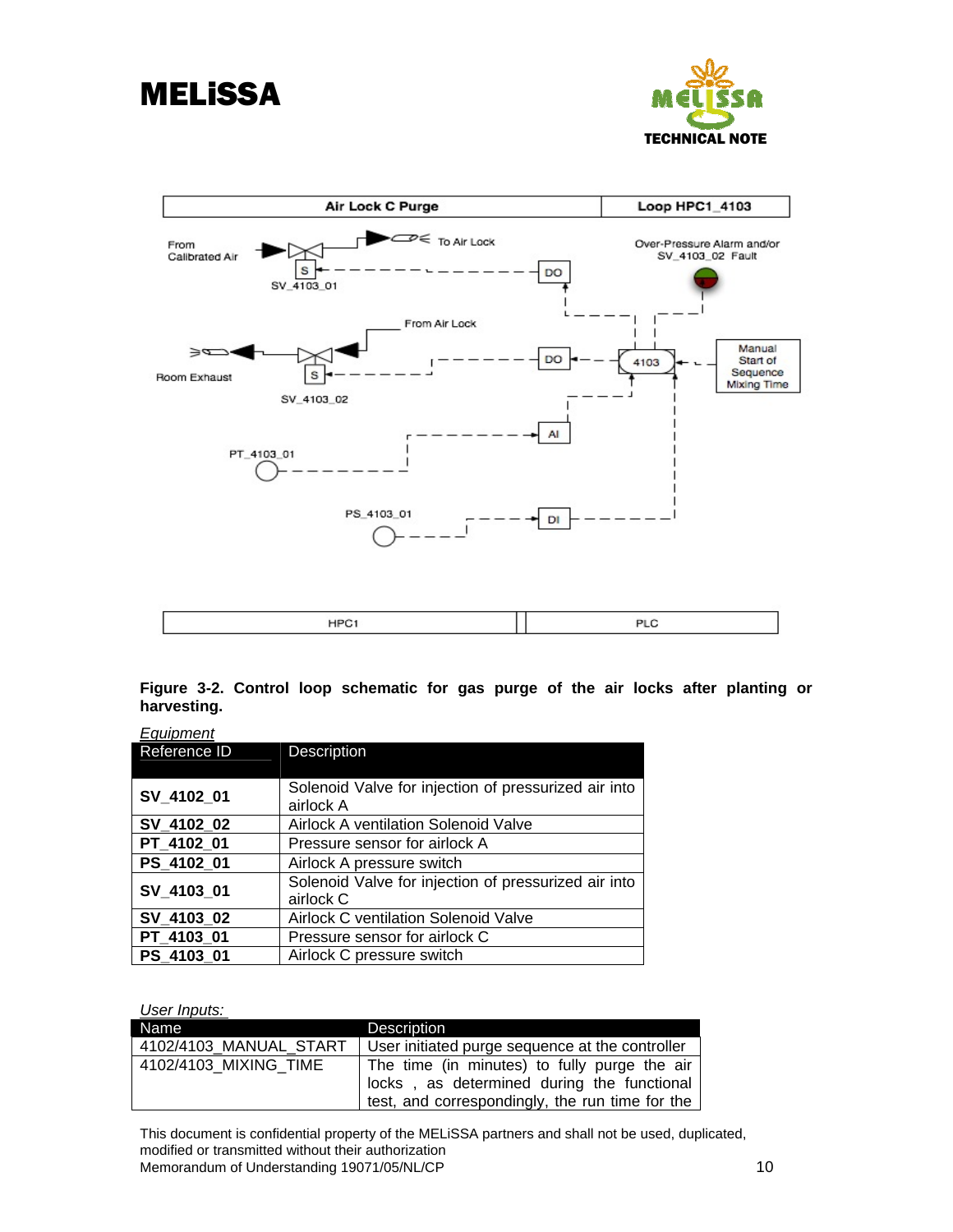

<span id="page-12-0"></span>

**Figure 3-2. Control loop schematic for gas purge of the air locks after planting or harvesting.** 

| <u>Equipment</u> |                                                      |
|------------------|------------------------------------------------------|
| Reference ID     | Description                                          |
|                  |                                                      |
|                  | Solenoid Valve for injection of pressurized air into |
| SV_4102_01       | airlock A                                            |
| SV_4102_02       | Airlock A ventilation Solenoid Valve                 |
| PT 4102 01       | Pressure sensor for airlock A                        |
| PS 4102 01       | Airlock A pressure switch                            |
|                  | Solenoid Valve for injection of pressurized air into |
| SV_4103_01       | airlock C                                            |
| SV_4103_02       | <b>Airlock C ventilation Solenoid Valve</b>          |
| PT_4103_01       | Pressure sensor for airlock C                        |
| PS 4103 01       | Airlock C pressure switch                            |
|                  |                                                      |

*User Inputs:* 

| ---- <i>---</i> ----   |                                                 |
|------------------------|-------------------------------------------------|
| Name                   | <b>Description</b>                              |
| 4102/4103 MANUAL START | User initiated purge sequence at the controller |
| 4102/4103 MIXING TIME  | The time (in minutes) to fully purge the air    |
|                        | locks, as determined during the functional      |
|                        | test, and correspondingly, the run time for the |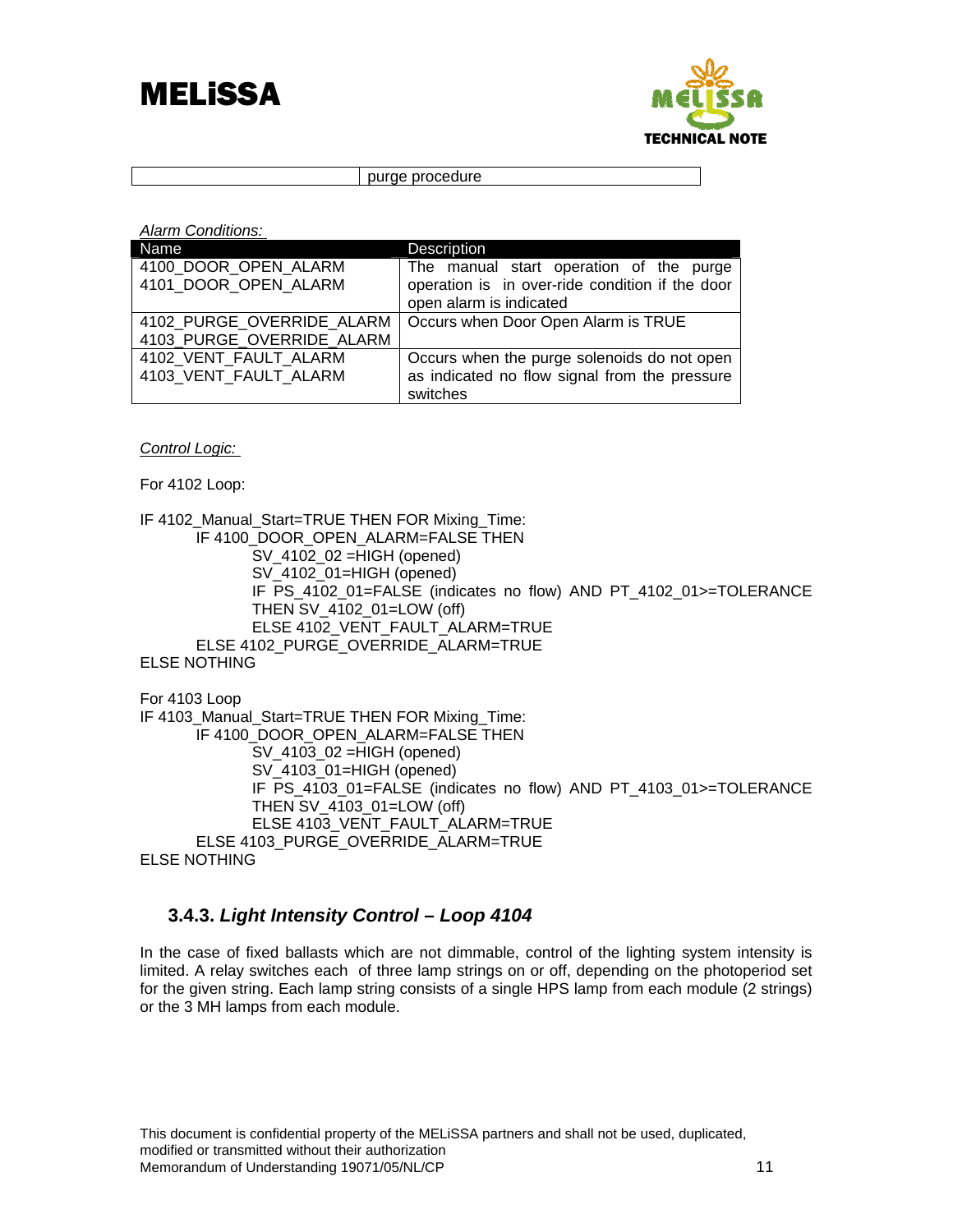



purge procedure

*Alarm Conditions:* 

| Name                      | Description                                     |
|---------------------------|-------------------------------------------------|
| 4100 DOOR OPEN ALARM      | The manual start operation of the purge         |
| 4101 DOOR OPEN ALARM      | operation is in over-ride condition if the door |
|                           | open alarm is indicated                         |
| 4102 PURGE OVERRIDE ALARM | Occurs when Door Open Alarm is TRUE             |
| 4103_PURGE_OVERRIDE_ALARM |                                                 |
| 4102 VENT FAULT ALARM     | Occurs when the purge solenoids do not open     |
| 4103 VENT FAULT ALARM     | as indicated no flow signal from the pressure   |
|                           | switches                                        |

*Control Logic:* 

For 4102 Loop:

IF 4102\_Manual\_Start=TRUE THEN FOR Mixing\_Time: IF 4100\_DOOR\_OPEN\_ALARM=FALSE THEN SV\_4102\_02 =HIGH (opened) SV\_4102\_01=HIGH (opened) IF PS\_4102\_01=FALSE (indicates no flow) AND PT\_4102\_01>=TOLERANCE THEN SV\_4102\_01=LOW (off) ELSE 4102\_VENT\_FAULT\_ALARM=TRUE ELSE 4102 PURGE\_OVERRIDE\_ALARM=TRUE ELSE NOTHING

For 4103 Loop IF 4103 Manual Start=TRUE THEN FOR Mixing Time: IF 4100 DOOR OPEN ALARM=FALSE THEN SV\_4103\_02 =HIGH (opened) SV\_4103\_01=HIGH (opened) IF PS\_4103\_01=FALSE (indicates no flow) AND PT\_4103\_01>=TOLERANCE THEN SV\_4103\_01=LOW (off) ELSE 4103\_VENT\_FAULT\_ALARM=TRUE ELSE 4103\_PURGE\_OVERRIDE\_ALARM=TRUE ELSE NOTHING

## **3.4.3.** *Light Intensity Control – Loop 4104*

In the case of fixed ballasts which are not dimmable, control of the lighting system intensity is limited. A relay switches each of three lamp strings on or off, depending on the photoperiod set for the given string. Each lamp string consists of a single HPS lamp from each module (2 strings) or the 3 MH lamps from each module.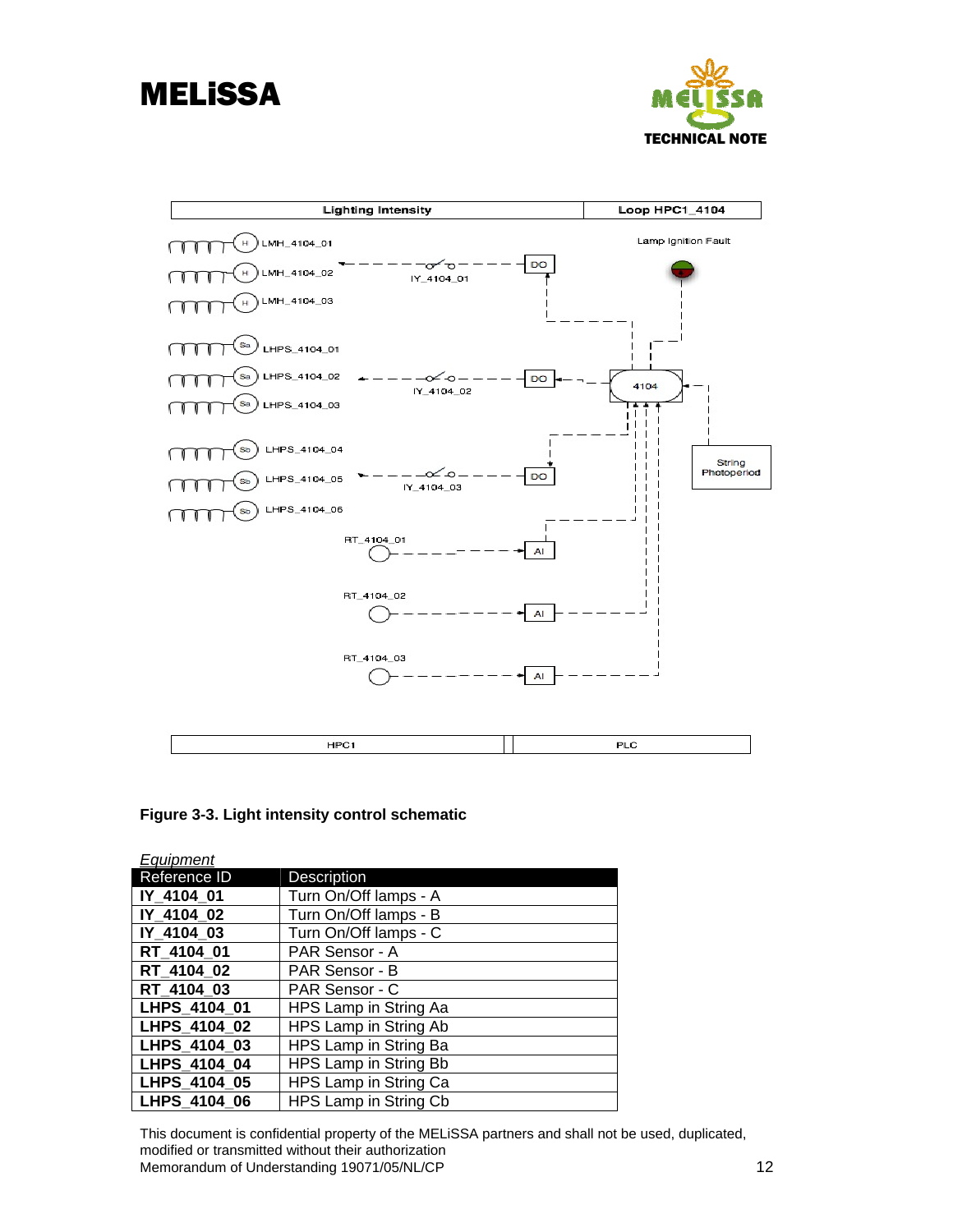<span id="page-14-0"></span>





**Figure 3-3. Light intensity control schematic** 

| Equipment    |                       |
|--------------|-----------------------|
| Reference ID | <b>Description</b>    |
| IY 4104 01   | Turn On/Off lamps - A |
| IY 4104 02   | Turn On/Off lamps - B |
| IY_4104_03   | Turn On/Off lamps - C |
| RT 4104 01   | PAR Sensor - A        |
| RT_4104_02   | PAR Sensor - B        |
| RT_4104_03   | PAR Sensor - C        |
| LHPS 4104 01 | HPS Lamp in String Aa |
| LHPS 4104 02 | HPS Lamp in String Ab |
| LHPS_4104_03 | HPS Lamp in String Ba |
| LHPS_4104_04 | HPS Lamp in String Bb |
| LHPS 4104 05 | HPS Lamp in String Ca |
| LHPS_4104_06 | HPS Lamp in String Cb |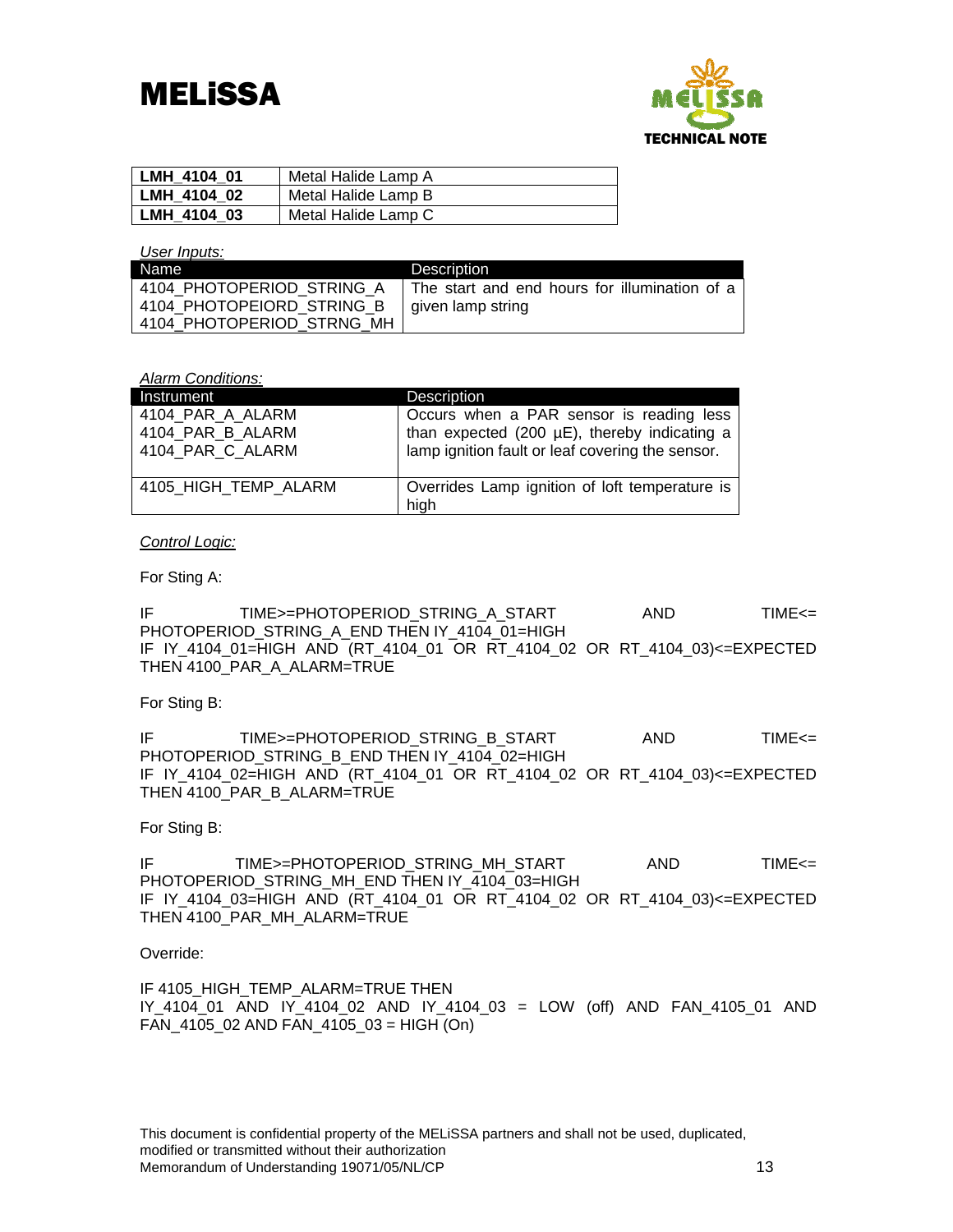# **MELISSA**



| l LMH 4104 01 | Metal Halide Lamp A |
|---------------|---------------------|
| LMH 4104 02   | Metal Halide Lamp B |
| LMH 4104 03   | Metal Halide Lamp C |

#### *User Inputs:*

| Name                      | Description                                   |
|---------------------------|-----------------------------------------------|
| 4104 PHOTOPERIOD STRING A | The start and end hours for illumination of a |
| 4104 PHOTOPEIORD STRING B | given lamp string                             |
| 4104 PHOTOPERIOD STRNG MH |                                               |

*Alarm Conditions:* 

| <b>Instrument</b>                                        | Description                                                                                                                                  |
|----------------------------------------------------------|----------------------------------------------------------------------------------------------------------------------------------------------|
| 4104 PAR A ALARM<br>4104 PAR B ALARM<br>4104 PAR C ALARM | Occurs when a PAR sensor is reading less<br>than expected (200 µE), thereby indicating a<br>lamp ignition fault or leaf covering the sensor. |
| 4105 HIGH TEMP ALARM                                     | Overrides Lamp ignition of loft temperature is<br>high                                                                                       |

### *Control Logic:*

For Sting A:

IF TIME>=PHOTOPERIOD\_STRING\_A\_START AND TIME<= PHOTOPERIOD\_STRING\_A\_END THEN IY\_4104\_01=HIGH IF IY\_4104\_01=HIGH AND (RT\_4104\_01 OR RT\_4104\_02 OR RT\_4104\_03)<=EXPECTED THEN 4100\_PAR\_A\_ALARM=TRUE

For Sting B:

IF TIME>=PHOTOPERIOD\_STRING\_B\_START AND TIME<= PHOTOPERIOD\_STRING\_B\_END THEN IY\_4104\_02=HIGH IF IY\_4104\_02=HIGH AND (RT\_4104\_01 OR RT\_4104\_02 OR RT\_4104\_03)<=EXPECTED THEN 4100\_PAR\_B\_ALARM=TRUE

For Sting B:

IF TIME>=PHOTOPERIOD\_STRING\_MH\_START AND TIME<= PHOTOPERIOD\_STRING\_MH\_END THEN IY\_4104\_03=HIGH IF IY\_4104\_03=HIGH AND (RT\_4104\_01 OR RT\_4104\_02 OR RT\_4104\_03)<=EXPECTED THEN 4100 PAR MH ALARM=TRUE

### Override:

IF 4105 HIGH TEMP ALARM=TRUE THEN IY\_4104\_01 AND IY\_4104\_02 AND IY\_4104\_03 = LOW (off) AND FAN\_4105\_01 AND FAN\_4105\_02 AND FAN\_4105\_03 = HIGH (On)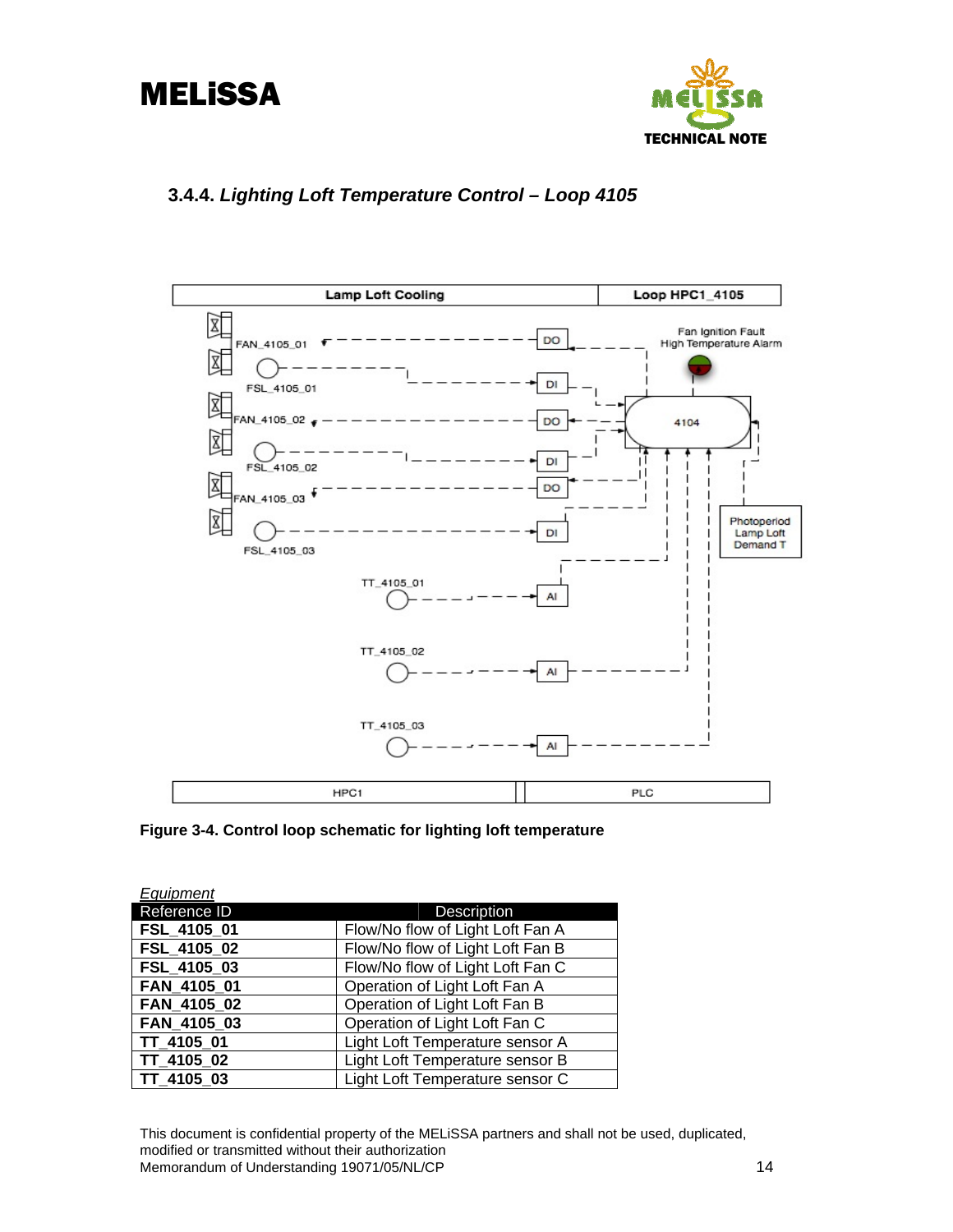<span id="page-16-0"></span>



## **3.4.4.** *Lighting Loft Temperature Control – Loop 4105*



**Figure 3-4. Control loop schematic for lighting loft temperature** 

| Equipment    |                                  |
|--------------|----------------------------------|
| Reference ID | <b>Description</b>               |
| FSL_4105_01  | Flow/No flow of Light Loft Fan A |
| FSL 4105 02  | Flow/No flow of Light Loft Fan B |
| FSL 4105 03  | Flow/No flow of Light Loft Fan C |
| FAN 4105 01  | Operation of Light Loft Fan A    |
| FAN 4105 02  | Operation of Light Loft Fan B    |
| FAN 4105 03  | Operation of Light Loft Fan C    |
| TT_4105_01   | Light Loft Temperature sensor A  |
| TT 4105 02   | Light Loft Temperature sensor B  |
| TT 4105 03   | Light Loft Temperature sensor C  |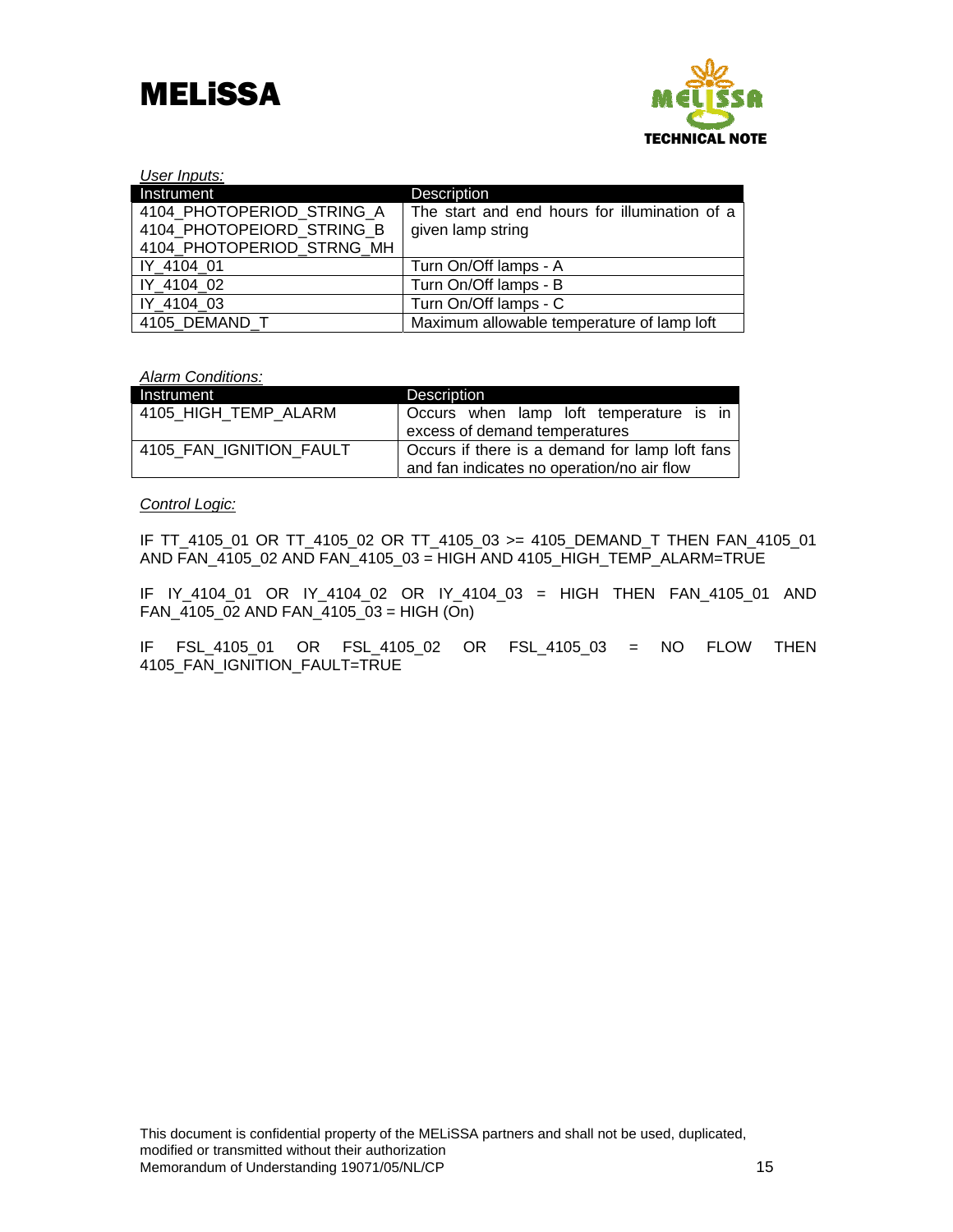



| User Inputs:              |                                               |
|---------------------------|-----------------------------------------------|
| Instrument                | Description                                   |
| 4104 PHOTOPERIOD STRING A | The start and end hours for illumination of a |
| 4104 PHOTOPEIORD STRING B | given lamp string                             |
| 4104 PHOTOPERIOD STRNG MH |                                               |
| IY 4104 01                | Turn On/Off lamps - A                         |
| IY 4104 02                | Turn On/Off lamps - B                         |
| IY 4104 03                | Turn On/Off lamps - C                         |
| 4105 DEMAND T             | Maximum allowable temperature of lamp loft    |

*Alarm Conditions:* 

| Instrument              | <b>Description</b>                                                                           |
|-------------------------|----------------------------------------------------------------------------------------------|
| 4105_HIGH_TEMP_ALARM    | Occurs when lamp loft temperature is in                                                      |
|                         | excess of demand temperatures                                                                |
| 4105 FAN IGNITION FAULT | Occurs if there is a demand for lamp loft fans<br>and fan indicates no operation/no air flow |

*Control Logic:*

IF TT\_4105\_01 OR TT\_4105\_02 OR TT\_4105\_03 >= 4105\_DEMAND\_T THEN FAN\_4105\_01 AND FAN\_4105\_02 AND FAN\_4105\_03 = HIGH AND 4105\_HIGH\_TEMP\_ALARM=TRUE

IF IY\_4104\_01 OR IY\_4104\_02 OR IY\_4104\_03 = HIGH THEN FAN\_4105\_01 AND FAN\_4105\_02 AND FAN\_4105\_03 = HIGH (On)

IF FSL\_4105\_01 OR FSL\_4105\_02 OR FSL\_4105\_03 = NO FLOW THEN 4105\_FAN\_IGNITION\_FAULT=TRUE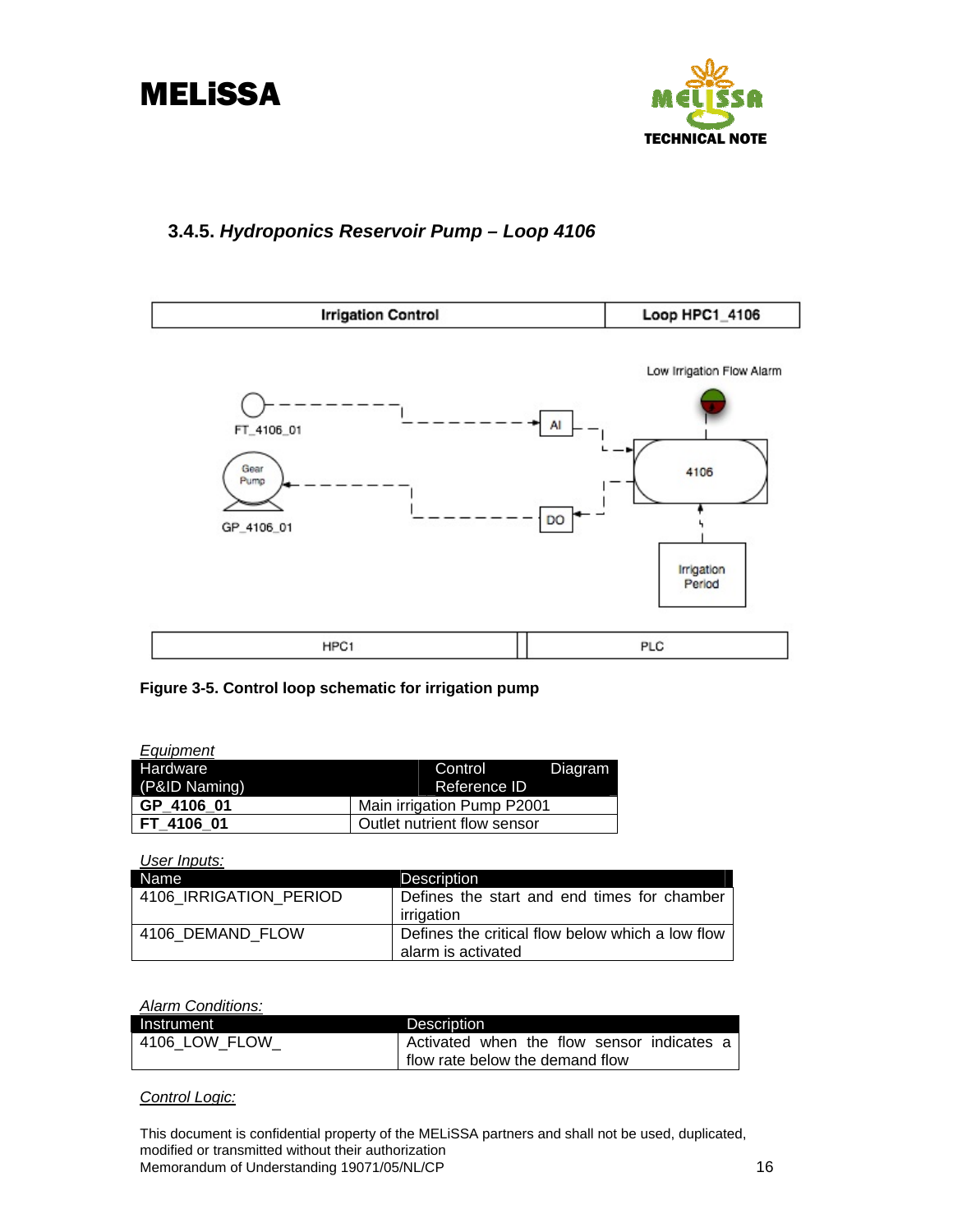<span id="page-18-0"></span>



## **3.4.5.** *Hydroponics Reservoir Pump – Loop 4106*



### **Figure 3-5. Control loop schematic for irrigation pump**

| Equipment     |                             |
|---------------|-----------------------------|
| Hardware      | Control<br>Diagram          |
| (P&ID Naming) | Reference ID                |
| GP 4106 01    | Main irrigation Pump P2001  |
| FT 4106 01    | Outlet nutrient flow sensor |

*User Inputs:* 

| Name                   | <b>Description</b>                               |
|------------------------|--------------------------------------------------|
| 4106 IRRIGATION PERIOD | Defines the start and end times for chamber      |
|                        | irrigation                                       |
| 4106 DEMAND FLOW       | Defines the critical flow below which a low flow |
|                        | alarm is activated                               |

#### *Alarm Conditions:*

| Instrument    | Description                                  |
|---------------|----------------------------------------------|
| 4106 LOW FLOW | l Activated when the flow sensor indicates a |
|               | flow rate below the demand flow              |

*Control Logic:*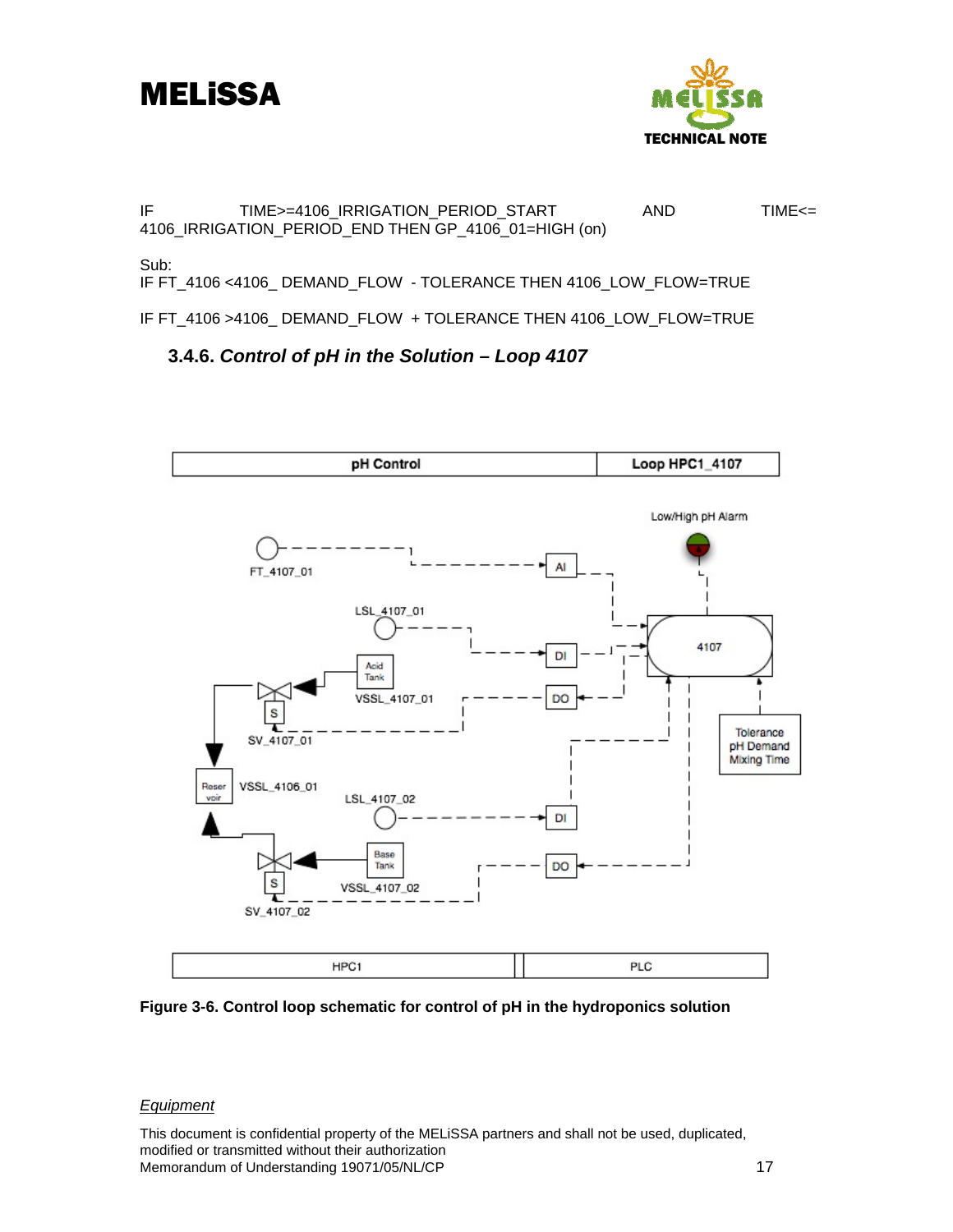<span id="page-19-0"></span>



IF TIME>=4106\_IRRIGATION\_PERIOD\_START AND TIME<= 4106\_IRRIGATION\_PERIOD\_END THEN GP\_4106\_01=HIGH (on)

Sub:

IF FT\_4106 <4106\_ DEMAND\_FLOW - TOLERANCE THEN 4106\_LOW\_FLOW=TRUE

IF FT\_4106 >4106\_ DEMAND\_FLOW + TOLERANCE THEN 4106\_LOW\_FLOW=TRUE

## **3.4.6.** *Control of pH in the Solution – Loop 4107*





### *Equipment*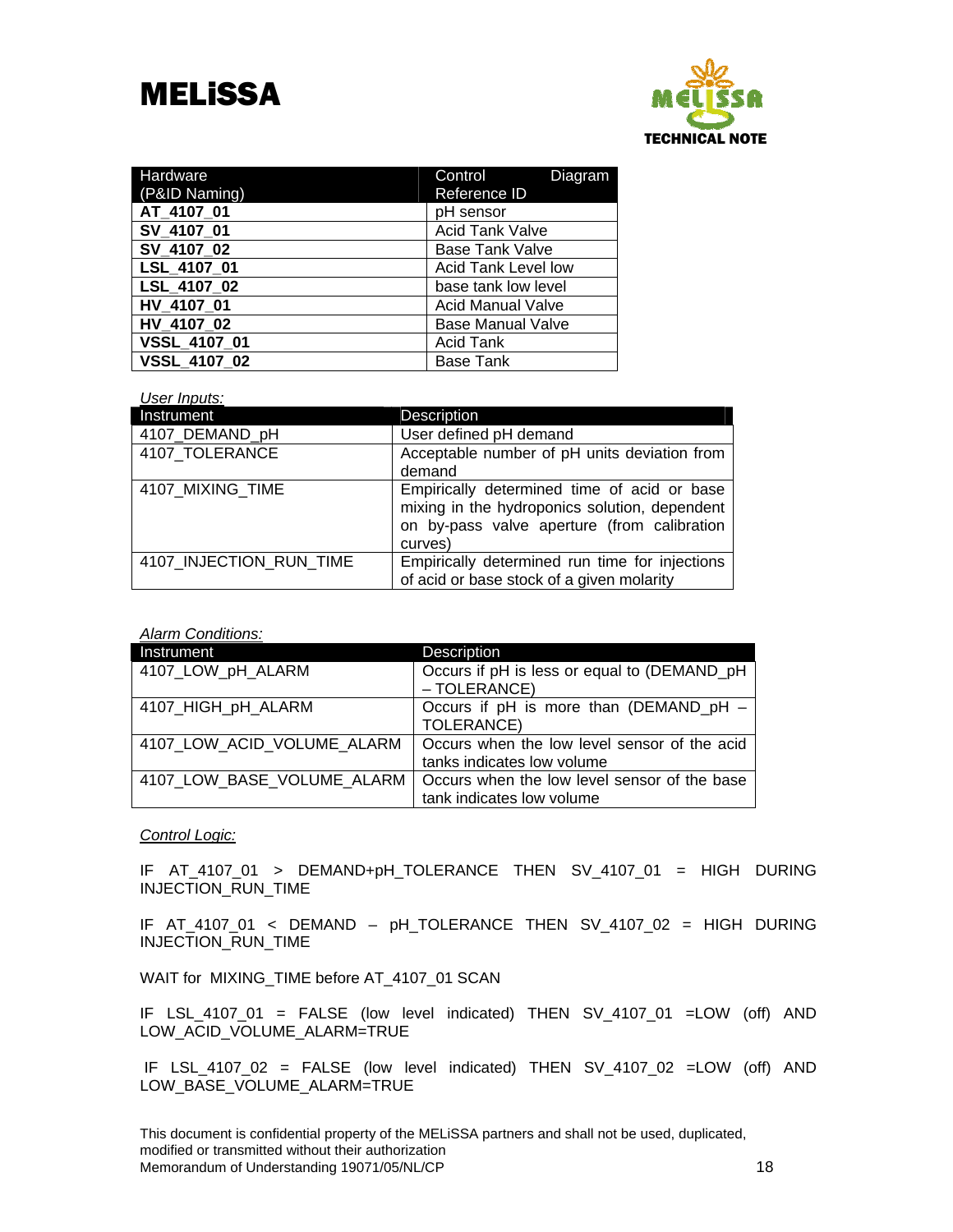

| Hardware            | Control<br>Diagram         |  |
|---------------------|----------------------------|--|
| (P&ID Naming)       | Reference ID               |  |
| AT 4107 01          | pH sensor                  |  |
| SV 4107 01          | <b>Acid Tank Valve</b>     |  |
| SV 4107 02          | <b>Base Tank Valve</b>     |  |
| LSL 4107 01         | <b>Acid Tank Level low</b> |  |
| LSL 4107 02         | base tank low level        |  |
| HV 4107 01          | <b>Acid Manual Valve</b>   |  |
| HV 4107 02          | <b>Base Manual Valve</b>   |  |
| VSSL_4107 01        | <b>Acid Tank</b>           |  |
| <b>VSSL 4107 02</b> | <b>Base Tank</b>           |  |

#### *User Inputs:*

| Instrument              | <b>Description</b>                                                                                                                                     |
|-------------------------|--------------------------------------------------------------------------------------------------------------------------------------------------------|
| 4107 DEMAND pH          | User defined pH demand                                                                                                                                 |
| 4107 TOLERANCE          | Acceptable number of pH units deviation from<br>demand                                                                                                 |
| 4107 MIXING TIME        | Empirically determined time of acid or base<br>mixing in the hydroponics solution, dependent<br>on by-pass valve aperture (from calibration<br>curves) |
| 4107 INJECTION RUN TIME | Empirically determined run time for injections<br>of acid or base stock of a given molarity                                                            |

*Alarm Conditions:* 

| Instrument                 | <b>Description</b>                           |
|----------------------------|----------------------------------------------|
| 4107_LOW_pH_ALARM          | Occurs if pH is less or equal to (DEMAND_pH  |
|                            | - TOLERANCE)                                 |
| 4107_HIGH_pH_ALARM         | Occurs if pH is more than (DEMAND_pH -       |
|                            | <b>TOLERANCE)</b>                            |
| 4107_LOW_ACID_VOLUME_ALARM | Occurs when the low level sensor of the acid |
|                            | tanks indicates low volume                   |
| 4107_LOW_BASE_VOLUME_ALARM | Occurs when the low level sensor of the base |
|                            | tank indicates low volume                    |

#### *Control Logic:*

IF AT\_4107\_01 > DEMAND+pH\_TOLERANCE THEN SV\_4107\_01 = HIGH DURING INJECTION\_RUN\_TIME

IF AT\_4107\_01 < DEMAND – pH\_TOLERANCE THEN SV\_4107\_02 = HIGH DURING INJECTION\_RUN\_TIME

WAIT for MIXING\_TIME before AT\_4107\_01 SCAN

IF LSL\_4107\_01 = FALSE (low level indicated) THEN SV\_4107\_01 =LOW (off) AND LOW\_ACID\_VOLUME\_ALARM=TRUE

 IF LSL\_4107\_02 = FALSE (low level indicated) THEN SV\_4107\_02 =LOW (off) AND LOW\_BASE\_VOLUME\_ALARM=TRUE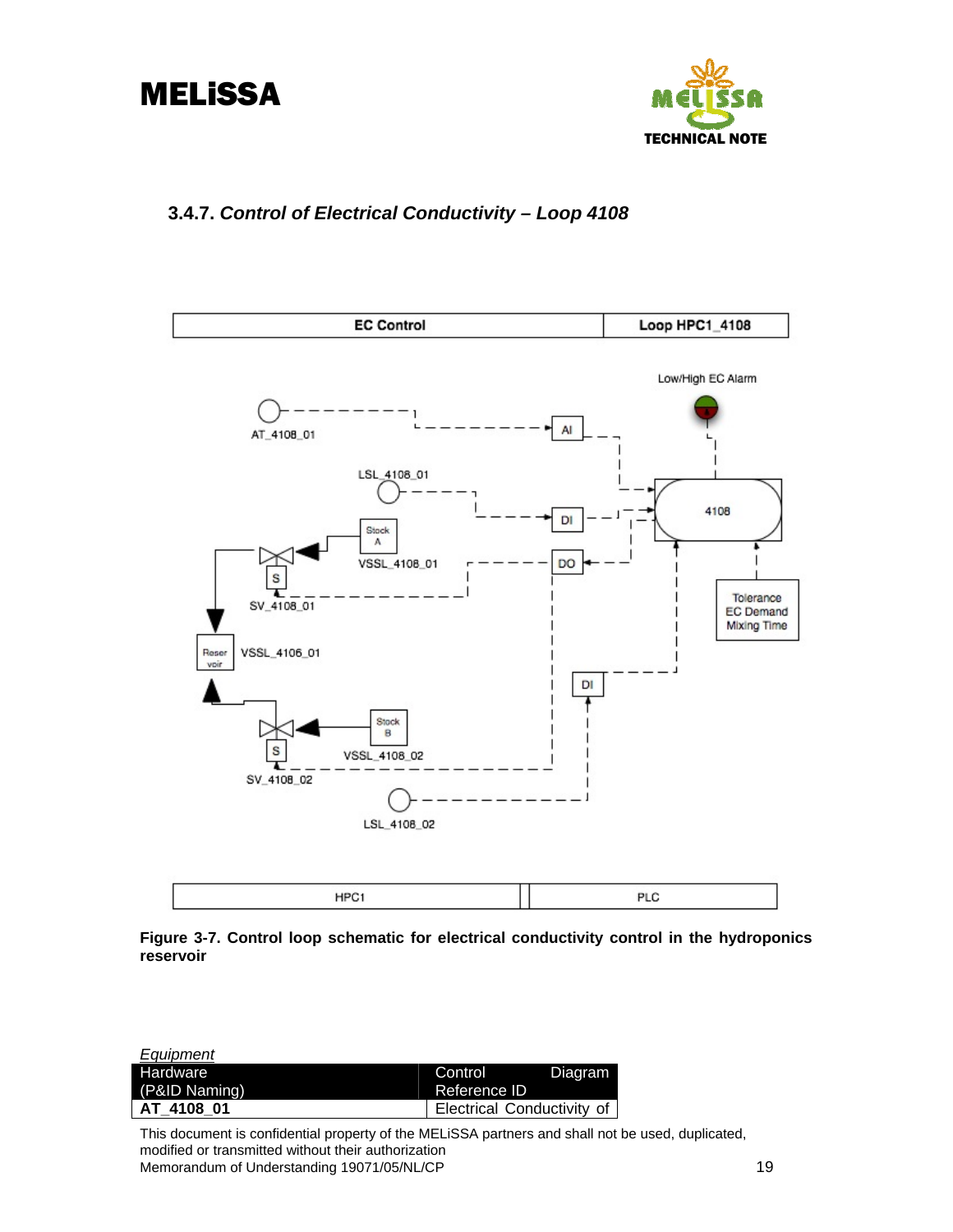<span id="page-21-0"></span>



## **3.4.7.** *Control of Electrical Conductivity – Loop 4108*



**Figure 3-7. Control loop schematic for electrical conductivity control in the hydroponics reservoir**

| Equipment     |                            |         |
|---------------|----------------------------|---------|
| Hardware      | Control                    | Diagram |
| (P&ID Naming) | Reference ID               |         |
| AT 4108 01    | Electrical Conductivity of |         |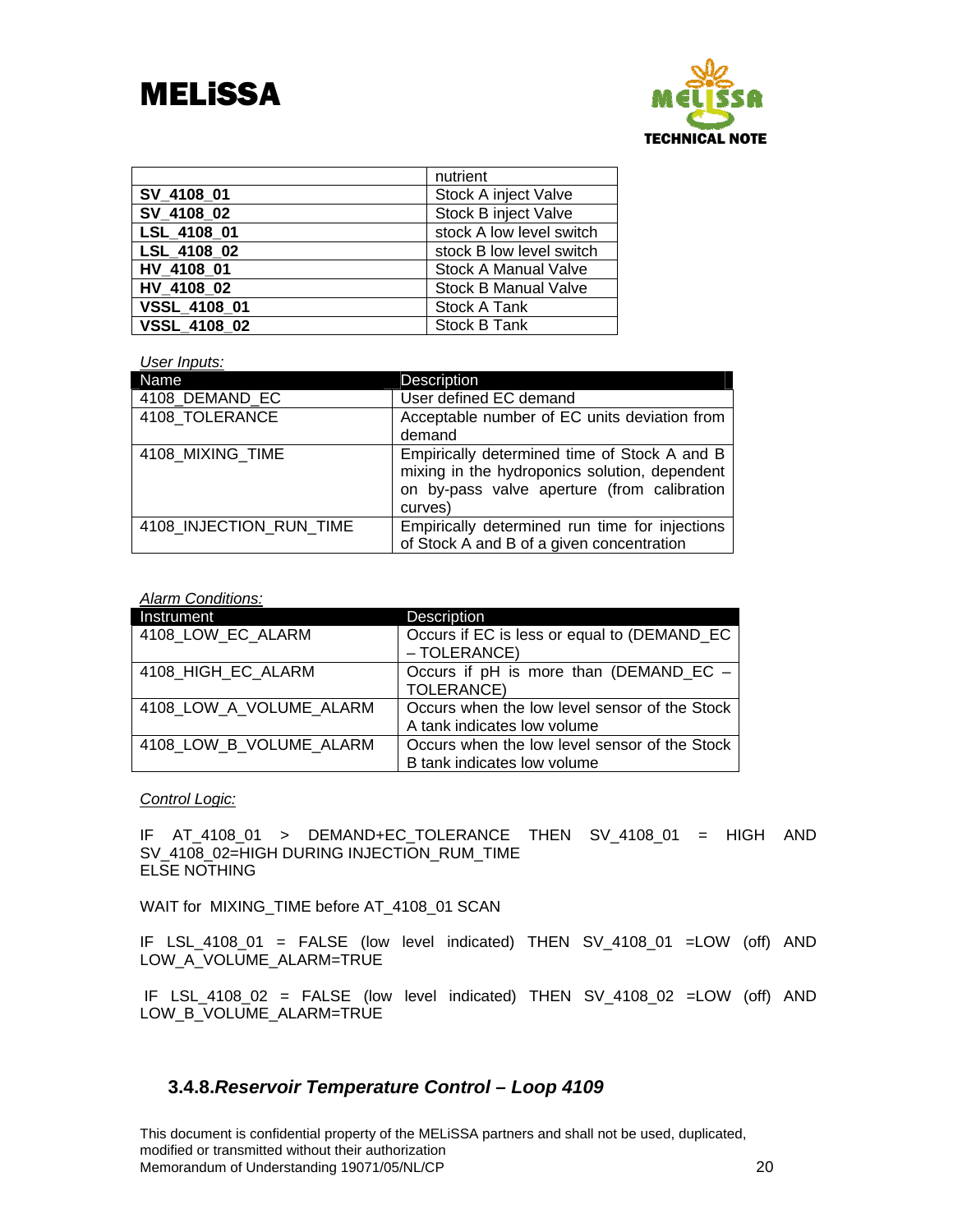

|              | nutrient                    |
|--------------|-----------------------------|
| SV 4108 01   | Stock A inject Valve        |
| SV 4108 02   | Stock B inject Valve        |
| LSL 4108 01  | stock A low level switch    |
| LSL 4108 02  | stock B low level switch    |
| HV 4108 01   | <b>Stock A Manual Valve</b> |
| HV 4108 02   | <b>Stock B Manual Valve</b> |
| VSSL_4108_01 | Stock A Tank                |
| VSSL_4108_02 | Stock B Tank                |

#### *User Inputs:*

| Name                    | Description                                                                                                                                             |
|-------------------------|---------------------------------------------------------------------------------------------------------------------------------------------------------|
| 4108_DEMAND_EC          | User defined EC demand                                                                                                                                  |
| 4108 TOLERANCE          | Acceptable number of EC units deviation from<br>demand                                                                                                  |
| 4108 MIXING TIME        | Empirically determined time of Stock A and B<br>mixing in the hydroponics solution, dependent<br>on by-pass valve aperture (from calibration<br>curves) |
| 4108 INJECTION RUN TIME | Empirically determined run time for injections<br>of Stock A and B of a given concentration                                                             |

#### *Alarm Conditions:*

| Instrument              | Description                                                                  |
|-------------------------|------------------------------------------------------------------------------|
| 4108 LOW EC ALARM       | Occurs if EC is less or equal to (DEMAND_EC<br>- TOLERANCE)                  |
| 4108 HIGH EC ALARM      | Occurs if pH is more than (DEMAND_EC -<br>TOLERANCE)                         |
| 4108 LOW A VOLUME ALARM | Occurs when the low level sensor of the Stock<br>A tank indicates low volume |
| 4108 LOW B VOLUME ALARM | Occurs when the low level sensor of the Stock<br>B tank indicates low volume |

### *Control Logic:*

IF AT\_4108\_01 > DEMAND+EC\_TOLERANCE THEN SV\_4108\_01 = HIGH AND SV\_4108\_02=HIGH DURING INJECTION\_RUM\_TIME ELSE NOTHING

WAIT for MIXING\_TIME before AT\_4108\_01 SCAN

IF LSL\_4108\_01 = FALSE (low level indicated) THEN SV\_4108\_01 =LOW (off) AND LOW\_A\_VOLUME\_ALARM=TRUE

 IF LSL\_4108\_02 = FALSE (low level indicated) THEN SV\_4108\_02 =LOW (off) AND LOW\_B\_VOLUME\_ALARM=TRUE

## **3.4.8.***Reservoir Temperature Control – Loop 4109*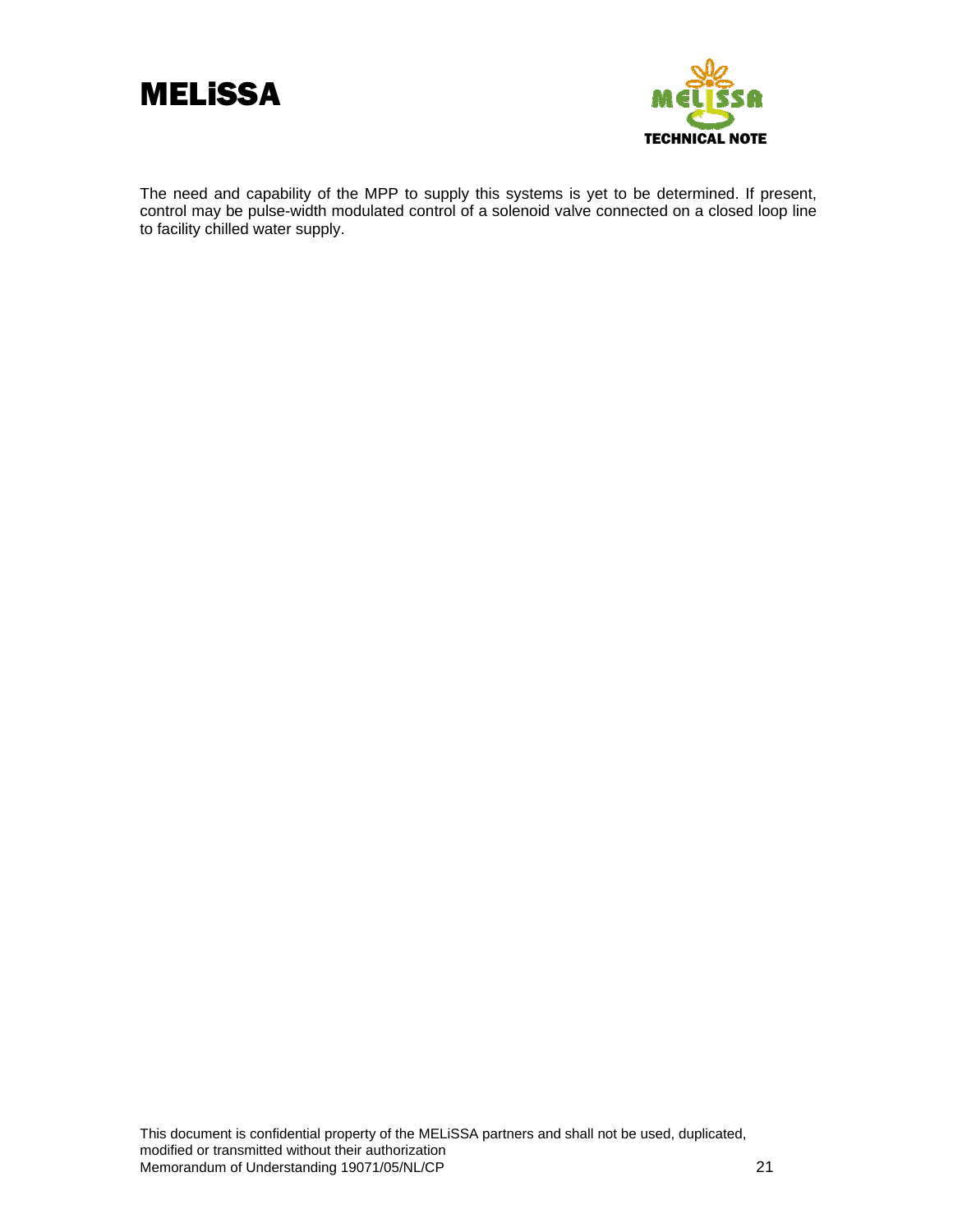



The need and capability of the MPP to supply this systems is yet to be determined. If present, control may be pulse-width modulated control of a solenoid valve connected on a closed loop line to facility chilled water supply.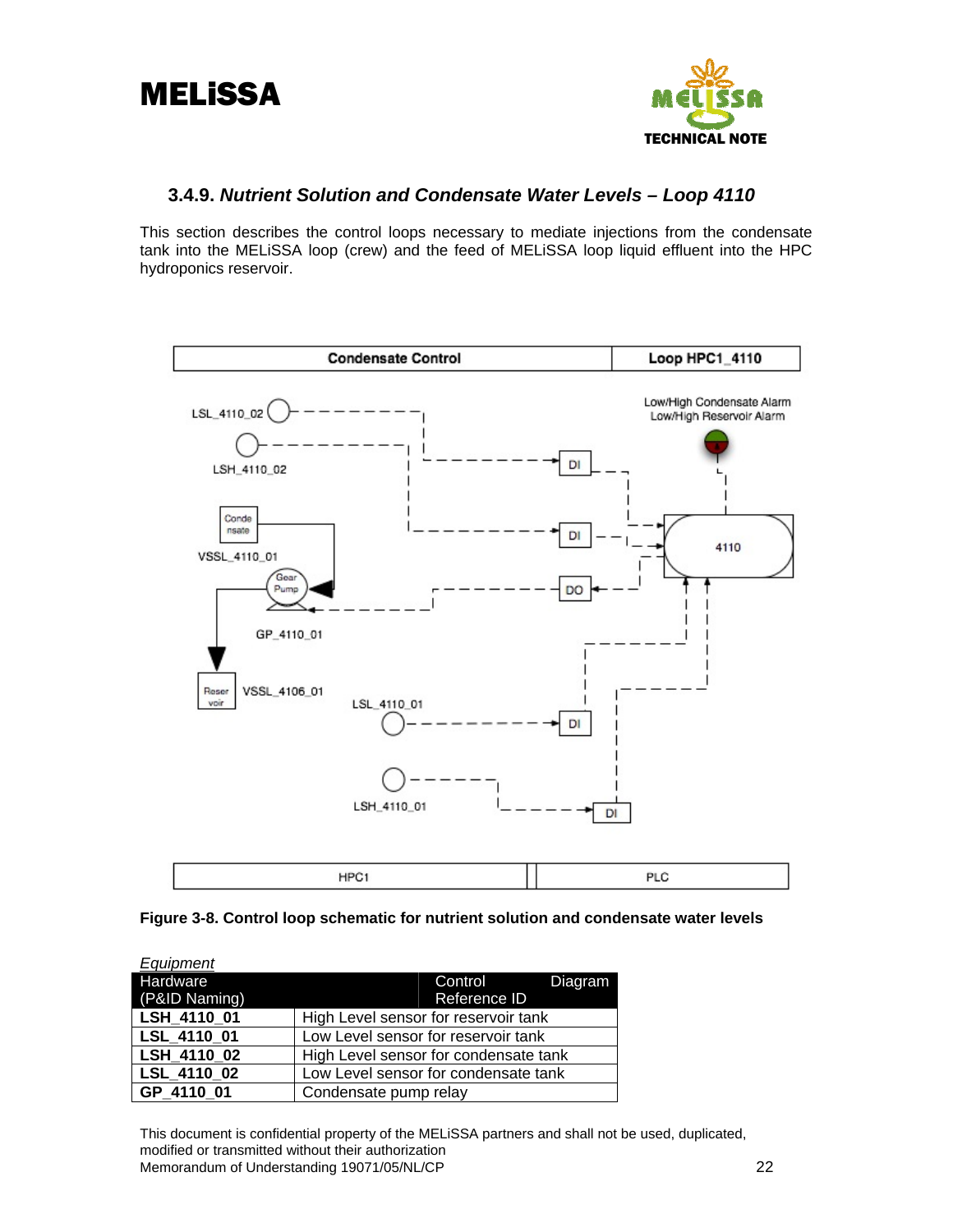<span id="page-24-0"></span>



## **3.4.9.** *Nutrient Solution and Condensate Water Levels – Loop 4110*

This section describes the control loops necessary to mediate injections from the condensate tank into the MELiSSA loop (crew) and the feed of MELiSSA loop liquid effluent into the HPC hydroponics reservoir.



### **Figure 3-8. Control loop schematic for nutrient solution and condensate water levels**

| Equipment     |                                       |  |
|---------------|---------------------------------------|--|
| Hardware      | Diagram<br>Control                    |  |
| (P&ID Naming) | Reference ID                          |  |
| LSH 4110 01   | High Level sensor for reservoir tank  |  |
| LSL 4110 01   | Low Level sensor for reservoir tank   |  |
| LSH_4110_02   | High Level sensor for condensate tank |  |
| LSL 4110 02   | Low Level sensor for condensate tank  |  |
| GP 4110 01    | Condensate pump relay                 |  |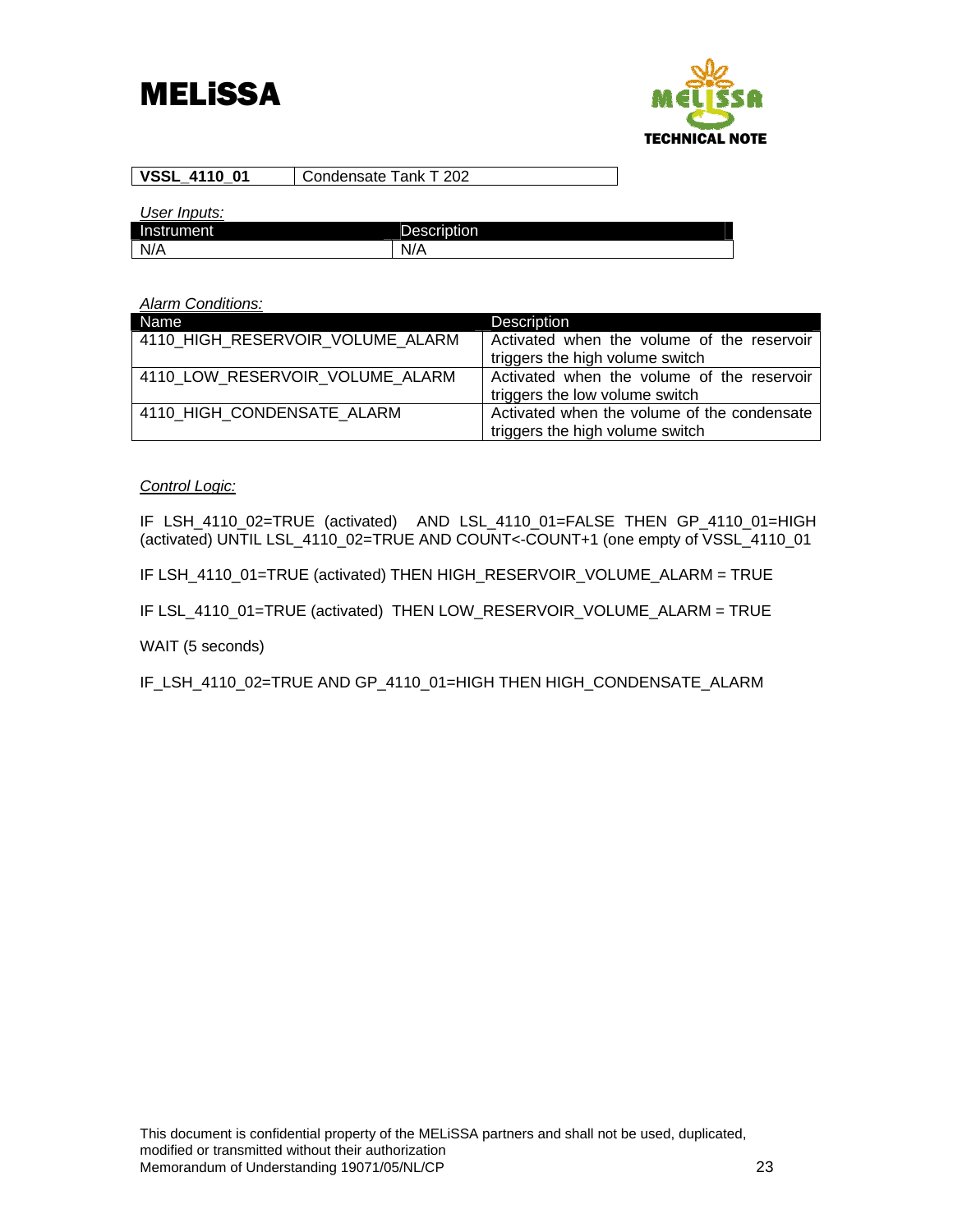

| <b>VSSL 4110 01</b> | L Condensate Tank T 202 |
|---------------------|-------------------------|
|---------------------|-------------------------|

*User Inputs:* 

| Instrument | <b>Description</b>          |
|------------|-----------------------------|
| N/A        | N.<br>.,<br>_<br><b>W//</b> |

#### *Alarm Conditions:*

| Name                             | <b>Description</b>                          |
|----------------------------------|---------------------------------------------|
| 4110 HIGH RESERVOIR VOLUME ALARM | Activated when the volume of the reservoir  |
|                                  | triggers the high volume switch             |
| 4110 LOW RESERVOIR VOLUME ALARM  | Activated when the volume of the reservoir  |
|                                  | triggers the low volume switch              |
| 4110 HIGH CONDENSATE ALARM       | Activated when the volume of the condensate |
|                                  | triggers the high volume switch             |

### *Control Logic:*

IF LSH\_4110\_02=TRUE (activated) AND LSL\_4110\_01=FALSE THEN GP\_4110\_01=HIGH (activated) UNTIL LSL\_4110\_02=TRUE AND COUNT<-COUNT+1 (one empty of VSSL\_4110\_01

IF LSH\_4110\_01=TRUE (activated) THEN HIGH\_RESERVOIR\_VOLUME\_ALARM = TRUE

IF LSL\_4110\_01=TRUE (activated) THEN LOW\_RESERVOIR\_VOLUME\_ALARM = TRUE

WAIT (5 seconds)

IF\_LSH\_4110\_02=TRUE AND GP\_4110\_01=HIGH THEN HIGH\_CONDENSATE\_ALARM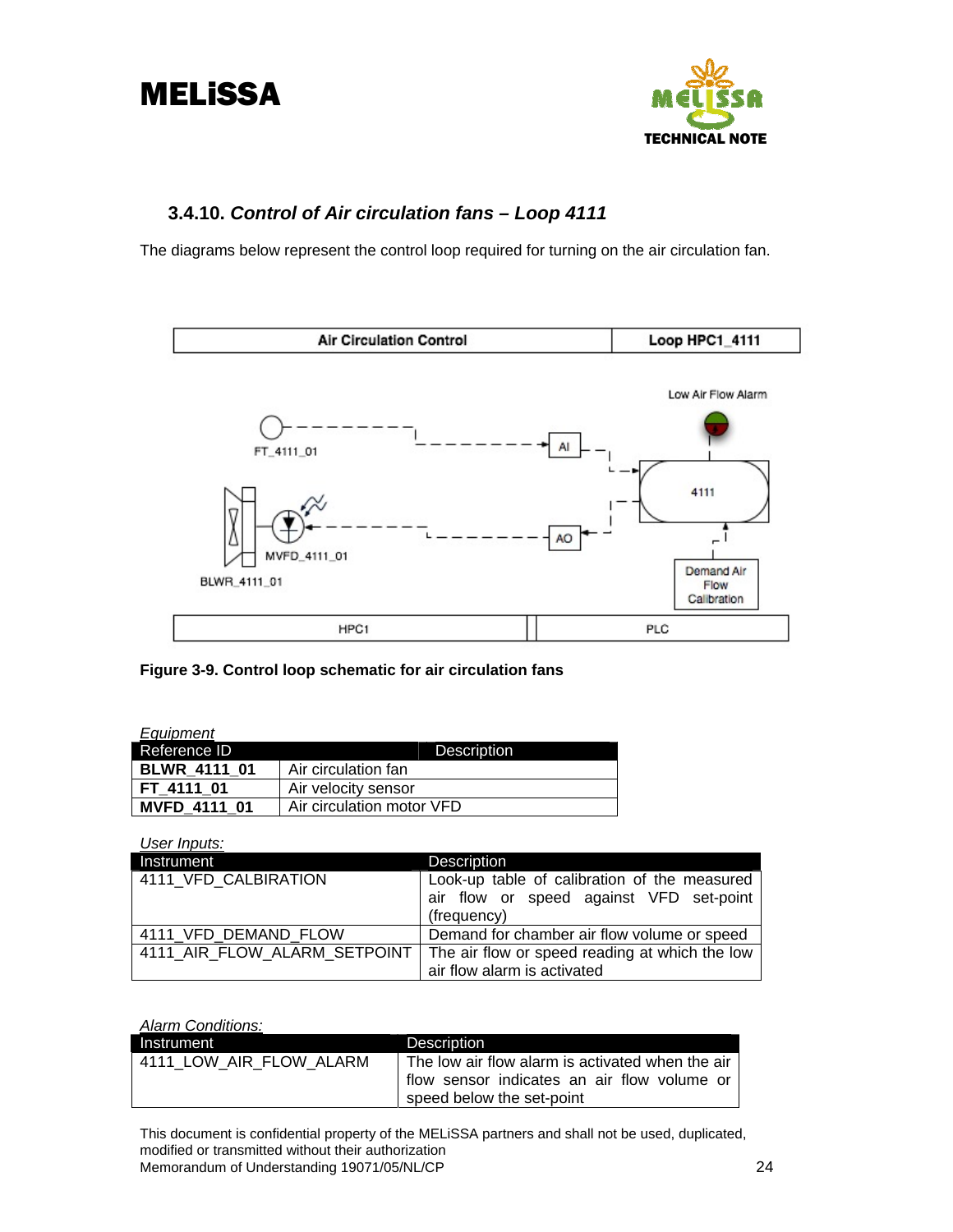<span id="page-26-0"></span>



## **3.4.10.** *Control of Air circulation fans – Loop 4111*

The diagrams below represent the control loop required for turning on the air circulation fan.



**Figure 3-9. Control loop schematic for air circulation fans** 

| <u>Equip</u> ment   |                           |  |
|---------------------|---------------------------|--|
| Reference ID        | <b>Description</b>        |  |
| <b>BLWR 4111 01</b> | Air circulation fan       |  |
| FT 4111 01          | Air velocity sensor       |  |
| <b>MVFD 4111 01</b> | Air circulation motor VFD |  |

*User Inputs:*  Instrument Description 4111\_VFD\_CALBIRATION Look-up table of calibration of the measured

|                              | air flow or speed against VFD set-point        |
|------------------------------|------------------------------------------------|
|                              | (frequency)                                    |
| 4111 VFD DEMAND FLOW         | Demand for chamber air flow volume or speed    |
| 4111 AIR FLOW ALARM SETPOINT | The air flow or speed reading at which the low |
|                              | air flow alarm is activated                    |

*Alarm Conditions:* 

| Instrument              | <b>Description</b>                                                                                                           |
|-------------------------|------------------------------------------------------------------------------------------------------------------------------|
| 4111 LOW AIR FLOW ALARM | The low air flow alarm is activated when the air<br>flow sensor indicates an air flow volume or<br>speed below the set-point |
|                         |                                                                                                                              |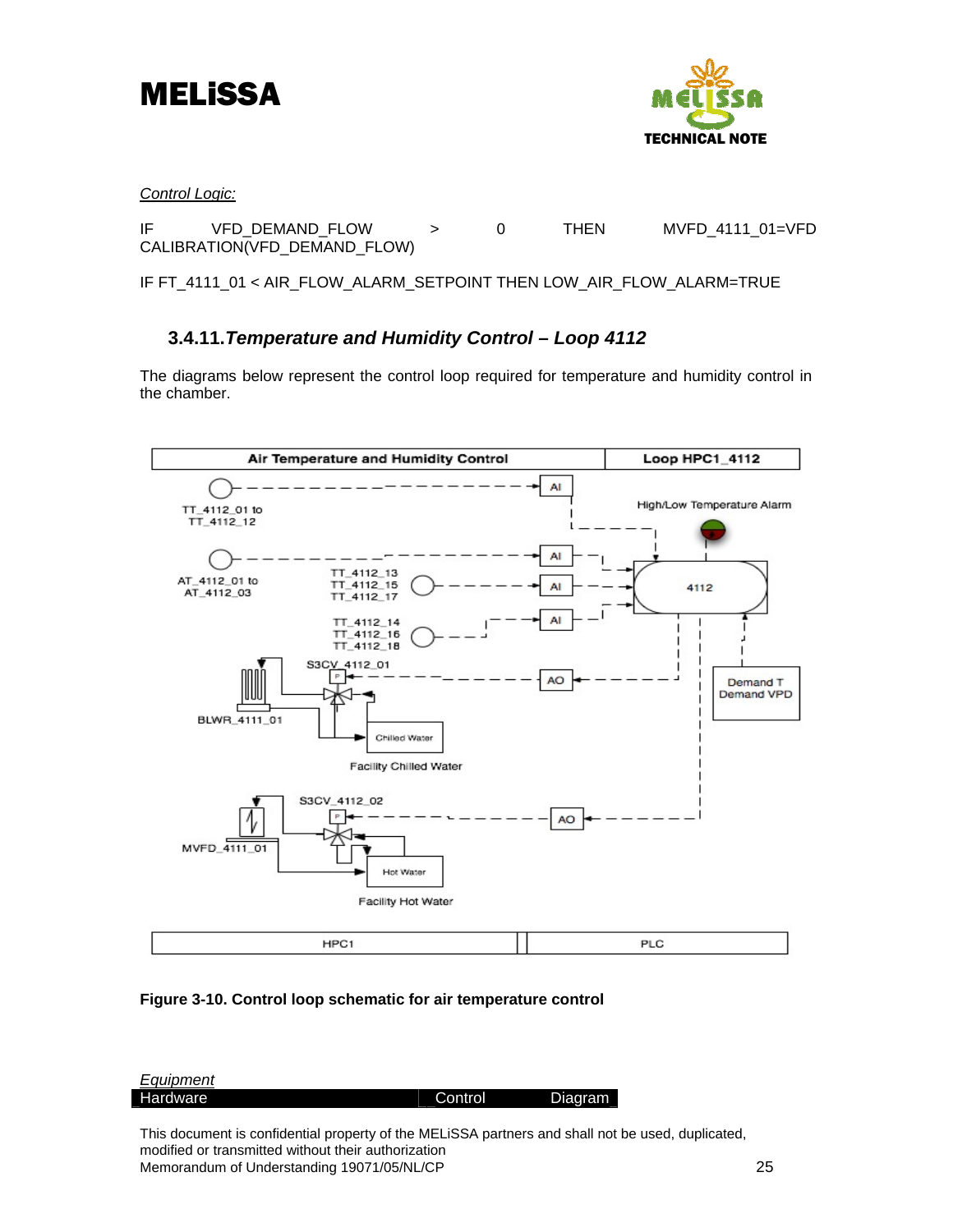<span id="page-27-0"></span>



*Control Logic:*

IF VFD DEMAND FLOW > 0 THEN MVFD 4111 01=VFD CALIBRATION(VFD\_DEMAND\_FLOW)

IF FT\_4111\_01 < AIR\_FLOW\_ALARM\_SETPOINT THEN LOW\_AIR\_FLOW\_ALARM=TRUE

## **3.4.11.***Temperature and Humidity Control – Loop 4112*

The diagrams below represent the control loop required for temperature and humidity control in the chamber.





| <b>Equipment</b> |         |         |
|------------------|---------|---------|
| Hardware         | Control | Diagram |
|                  |         |         |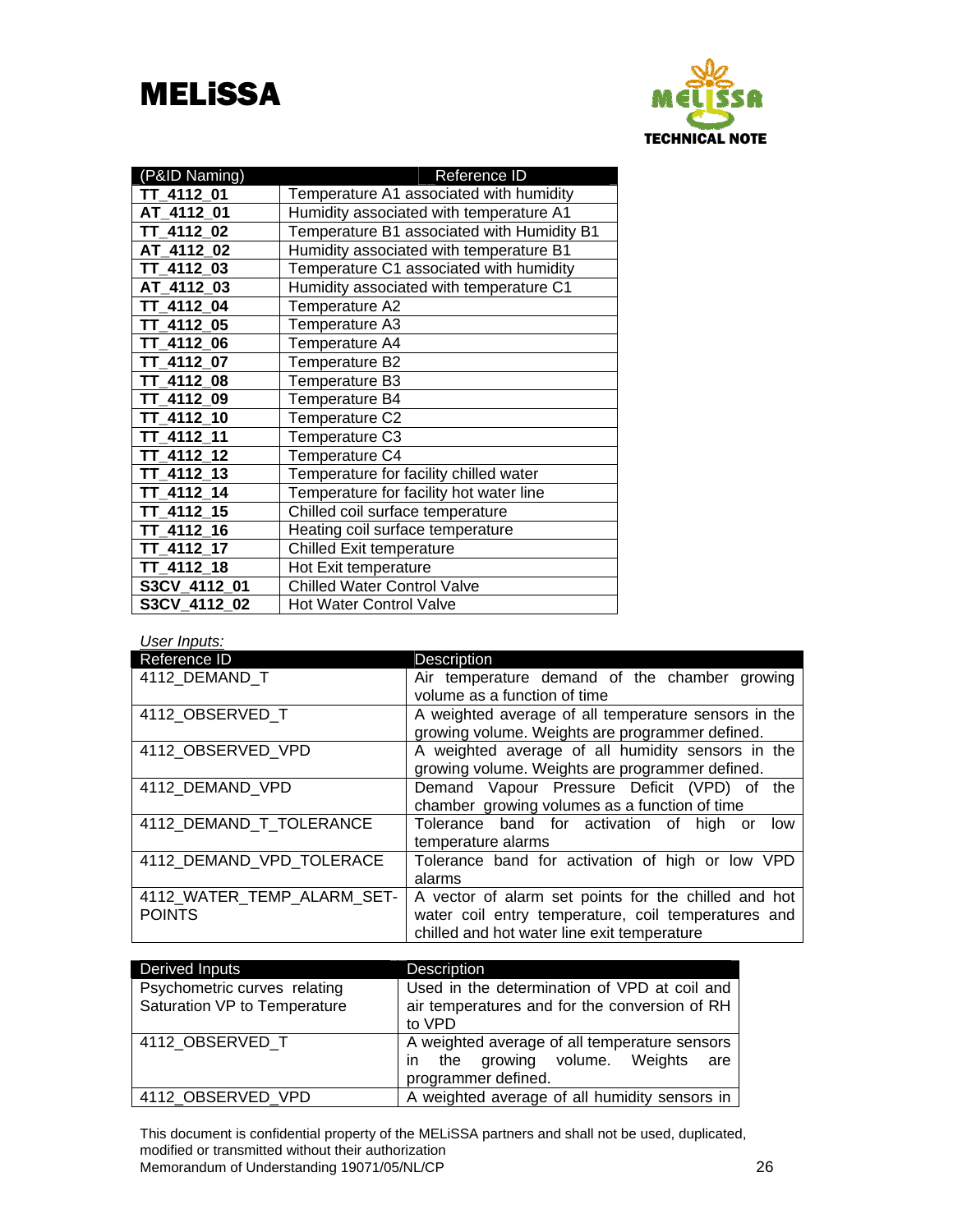

| (P&ID Naming) | Reference ID                               |
|---------------|--------------------------------------------|
| TT_4112_01    | Temperature A1 associated with humidity    |
| AT 4112 01    | Humidity associated with temperature A1    |
| TT 4112 02    | Temperature B1 associated with Humidity B1 |
| AT 4112 02    | Humidity associated with temperature B1    |
| TT 4112 03    | Temperature C1 associated with humidity    |
| AT 4112 03    | Humidity associated with temperature C1    |
| TT 4112 04    | Temperature A2                             |
| TT 4112 05    | Temperature A3                             |
| TT 4112 06    | Temperature A4                             |
| TT 4112 07    | Temperature B2                             |
| TT 4112 08    | Temperature B3                             |
| TT 4112 09    | Temperature B4                             |
| TT 4112 10    | Temperature C2                             |
| TT 4112 11    | Temperature C3                             |
| TT 4112 12    | Temperature C4                             |
| TT 4112 13    | Temperature for facility chilled water     |
| TT 4112 14    | Temperature for facility hot water line    |
| TT 4112 15    | Chilled coil surface temperature           |
| TT 4112 16    | Heating coil surface temperature           |
| TT 4112 17    | <b>Chilled Exit temperature</b>            |
| TT 4112 18    | Hot Exit temperature                       |
| S3CV 4112 01  | <b>Chilled Water Control Valve</b>         |
| S3CV 4112 02  | <b>Hot Water Control Valve</b>             |

*User Inputs:* 

| Reference ID                                | Description                                                                                                                                                |
|---------------------------------------------|------------------------------------------------------------------------------------------------------------------------------------------------------------|
| 4112 DEMAND T                               | Air temperature demand of the chamber growing<br>volume as a function of time                                                                              |
| 4112 OBSERVED T                             | A weighted average of all temperature sensors in the<br>growing volume. Weights are programmer defined.                                                    |
| 4112_OBSERVED_VPD                           | A weighted average of all humidity sensors in the<br>growing volume. Weights are programmer defined.                                                       |
| 4112 DEMAND VPD                             | Demand Vapour Pressure Deficit (VPD) of<br>the<br>chamber growing volumes as a function of time                                                            |
| 4112_DEMAND_T_TOLERANCE                     | Tolerance band for activation of high or<br>low<br>temperature alarms                                                                                      |
| 4112_DEMAND_VPD_TOLERACE                    | Tolerance band for activation of high or low VPD<br>alarms                                                                                                 |
| 4112 WATER TEMP ALARM SET-<br><b>POINTS</b> | A vector of alarm set points for the chilled and hot<br>water coil entry temperature, coil temperatures and<br>chilled and hot water line exit temperature |

| <b>Derived Inputs</b>                                        | <b>Description</b>                                                                                                |
|--------------------------------------------------------------|-------------------------------------------------------------------------------------------------------------------|
| Psychometric curves relating<br>Saturation VP to Temperature | Used in the determination of VPD at coil and<br>air temperatures and for the conversion of RH<br>to VPD           |
| 4112 OBSERVED T                                              | A weighted average of all temperature sensors<br>the growing volume. Weights<br>are<br>in.<br>programmer defined. |
| 4112 OBSERVED VPD                                            | A weighted average of all humidity sensors in                                                                     |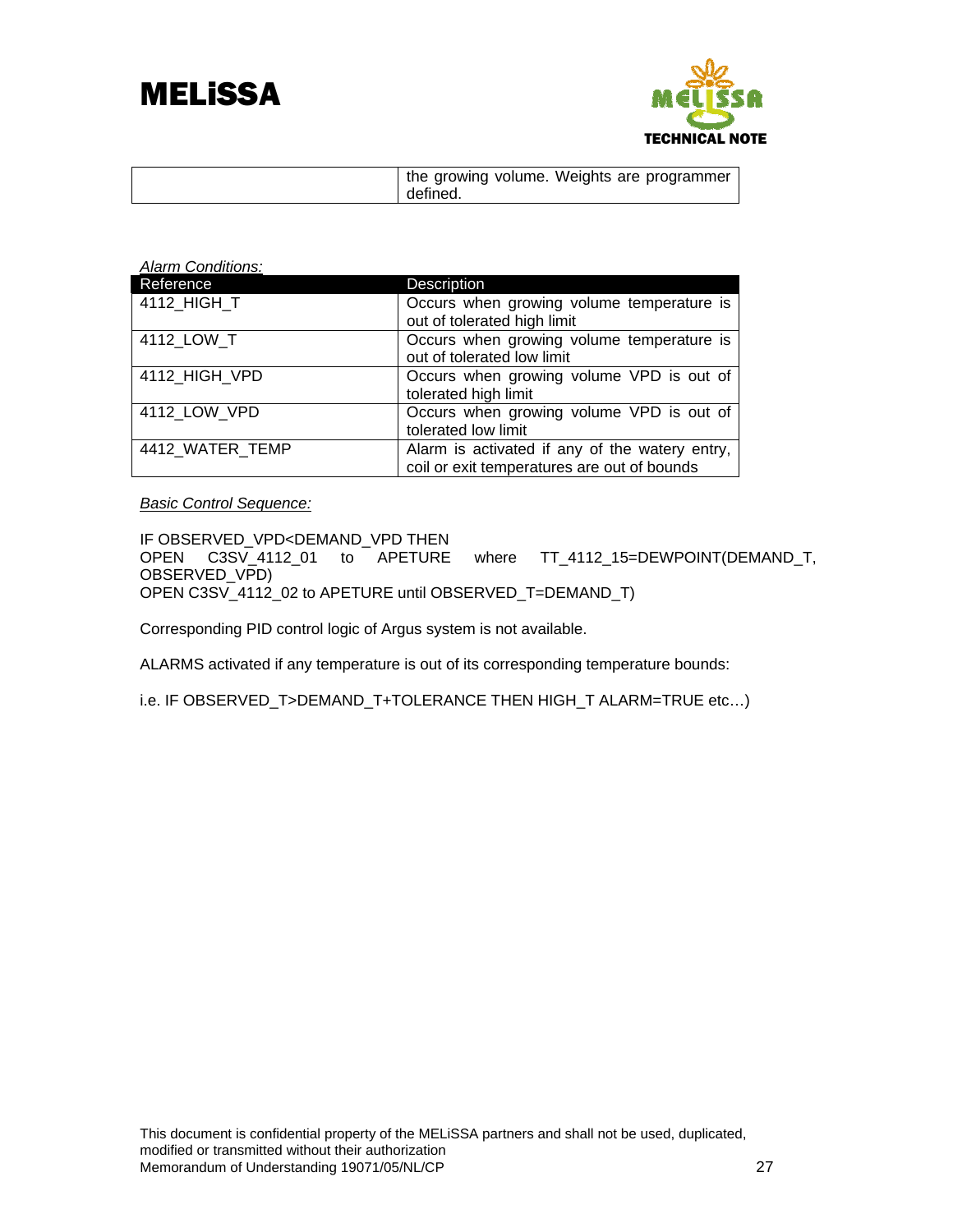



| the growing volume. Weights are programmer<br>defined. |
|--------------------------------------------------------|
|--------------------------------------------------------|

| <b>Alarm Conditions:</b> |                                                                                               |
|--------------------------|-----------------------------------------------------------------------------------------------|
| Reference                | <b>Description</b>                                                                            |
| 4112_HIGH_T              | Occurs when growing volume temperature is<br>out of tolerated high limit                      |
| 4112 LOW T               | Occurs when growing volume temperature is<br>out of tolerated low limit                       |
| 4112_HIGH_VPD            | Occurs when growing volume VPD is out of<br>tolerated high limit                              |
| 4112 LOW VPD             | Occurs when growing volume VPD is out of<br>tolerated low limit                               |
| 4412_WATER_TEMP          | Alarm is activated if any of the watery entry,<br>coil or exit temperatures are out of bounds |

*Basic Control Sequence:*

IF OBSERVED\_VPD<DEMAND\_VPD THEN<br>OPEN C3SV\_4112\_01 to APETURE where TT\_4112\_15=DEWPOINT(DEMAND\_T, OBSERVED\_VPD) OPEN C3SV\_4112\_02 to APETURE until OBSERVED\_T=DEMAND\_T)

Corresponding PID control logic of Argus system is not available.

ALARMS activated if any temperature is out of its corresponding temperature bounds:

i.e. IF OBSERVED\_T>DEMAND\_T+TOLERANCE THEN HIGH\_T ALARM=TRUE etc…)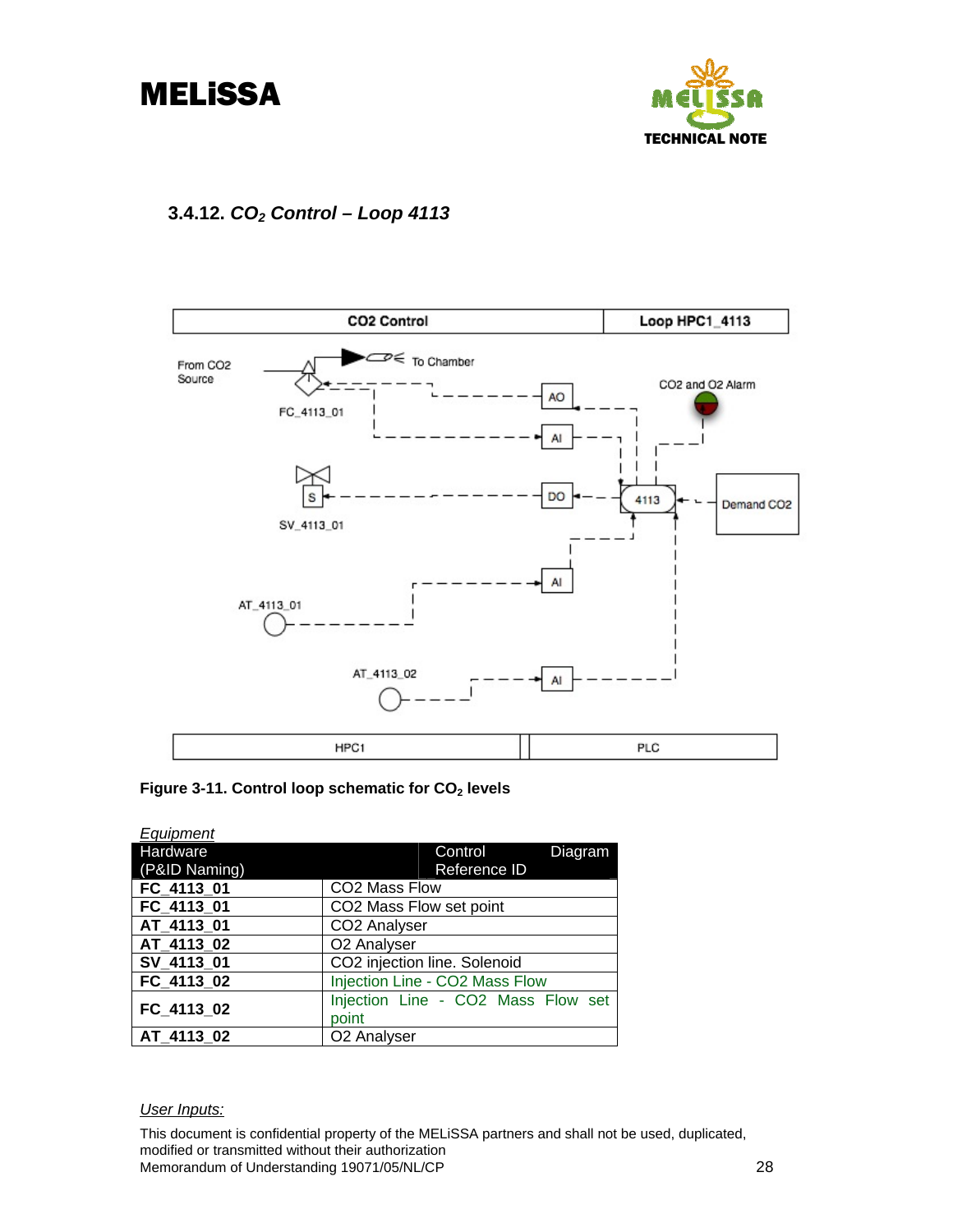<span id="page-30-0"></span>



# **3.4.12.** *CO2 Control – Loop 4113*



Figure 3-11. Control loop schematic for CO<sub>2</sub> levels

| Equipment     |                                    |
|---------------|------------------------------------|
| Hardware      | Control<br>Diagram                 |
| (P&ID Naming) | Reference ID                       |
| FC 4113 01    | CO2 Mass Flow                      |
| FC 4113 01    | CO2 Mass Flow set point            |
| AT_4113_01    | CO2 Analyser                       |
| AT_4113_02    | O2 Analyser                        |
| SV_4113_01    | CO2 injection line. Solenoid       |
| FC_4113_02    | Injection Line - CO2 Mass Flow     |
| FC 4113 02    | Injection Line - CO2 Mass Flow set |
|               | point                              |
| AT_4113_02    | O <sub>2</sub> Analyser            |

#### *User Inputs:*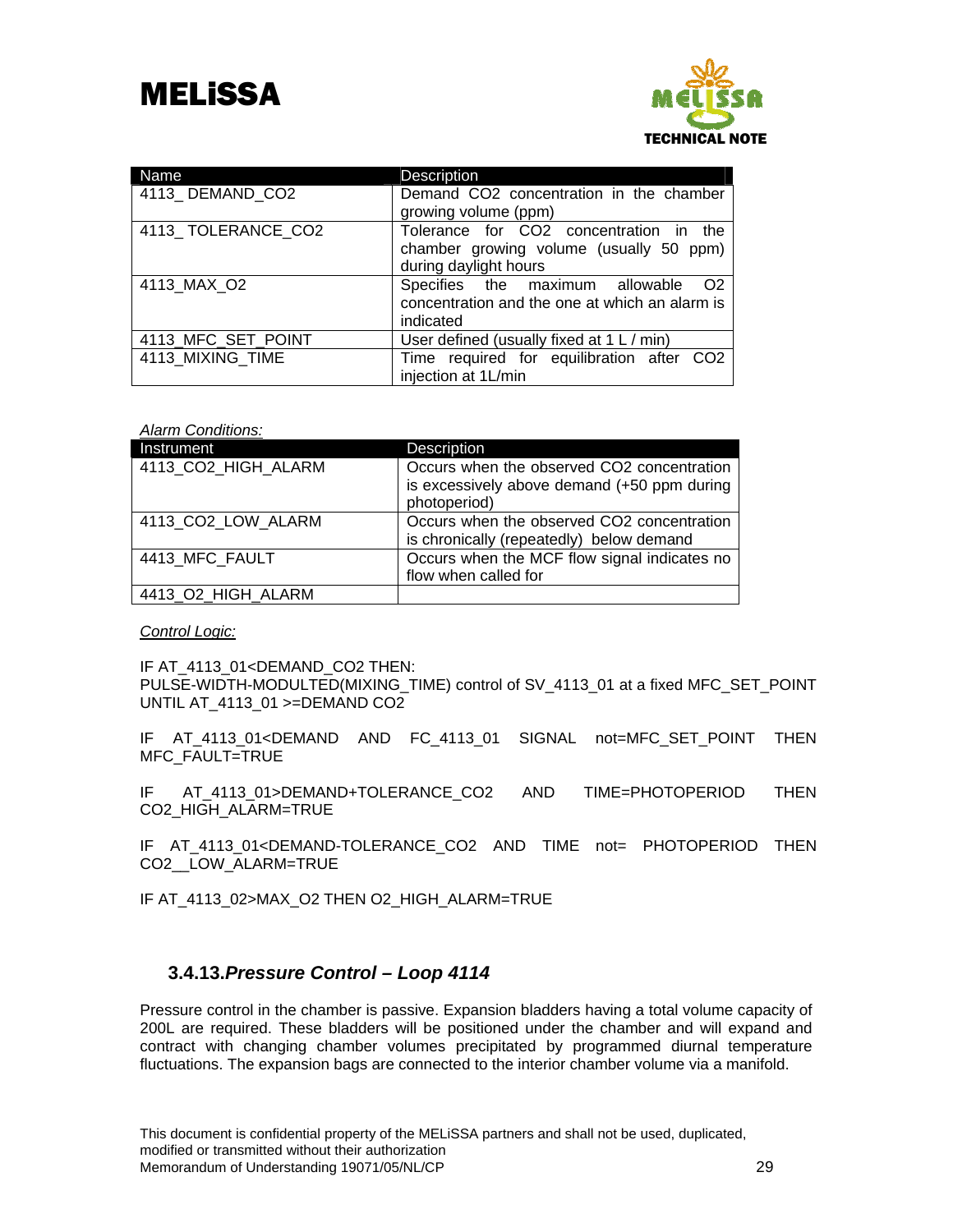

| Name               | Description                                                                                                |
|--------------------|------------------------------------------------------------------------------------------------------------|
| 4113 DEMAND CO2    | Demand CO2 concentration in the chamber<br>growing volume (ppm)                                            |
| 4113 TOLERANCE CO2 | Tolerance for CO2 concentration in the<br>chamber growing volume (usually 50 ppm)<br>during daylight hours |
| 4113 MAX O2        | Specifies the maximum allowable<br>O2<br>concentration and the one at which an alarm is<br>indicated       |
| 4113_MFC_SET_POINT | User defined (usually fixed at 1 L / min)                                                                  |
| 4113 MIXING TIME   | Time required for equilibration after CO2<br>injection at 1L/min                                           |

#### *Alarm Conditions:*

| Instrument          | Description                                                                                               |
|---------------------|-----------------------------------------------------------------------------------------------------------|
| 4113 CO2 HIGH ALARM | Occurs when the observed CO2 concentration<br>is excessively above demand (+50 ppm during<br>photoperiod) |
| 4113_CO2_LOW_ALARM  | Occurs when the observed CO2 concentration<br>is chronically (repeatedly) below demand                    |
| 4413 MFC FAULT      | Occurs when the MCF flow signal indicates no<br>flow when called for                                      |
| 4413_O2_HIGH_ALARM  |                                                                                                           |

#### *Control Logic:*

IF AT\_4113\_01<DEMAND\_CO2 THEN: PULSE-WIDTH-MODULTED(MIXING\_TIME) control of SV\_4113\_01 at a fixed MFC\_SET\_POINT UNTIL AT 4113 01 >=DEMAND CO2

IF AT\_4113\_01<DEMAND AND FC\_4113\_01 SIGNAL not=MFC\_SET\_POINT THEN MFC\_FAULT=TRUE

IF AT\_4113\_01>DEMAND+TOLERANCE\_CO2 AND TIME=PHOTOPERIOD THEN CO2\_HIGH\_ALARM=TRUE

IF AT\_4113\_01<DEMAND-TOLERANCE\_CO2 AND TIME not= PHOTOPERIOD THEN CO2\_\_LOW\_ALARM=TRUE

IF AT\_4113\_02>MAX\_O2 THEN O2\_HIGH\_ALARM=TRUE

## **3.4.13.***Pressure Control – Loop 4114*

Pressure control in the chamber is passive. Expansion bladders having a total volume capacity of 200L are required. These bladders will be positioned under the chamber and will expand and contract with changing chamber volumes precipitated by programmed diurnal temperature fluctuations. The expansion bags are connected to the interior chamber volume via a manifold.